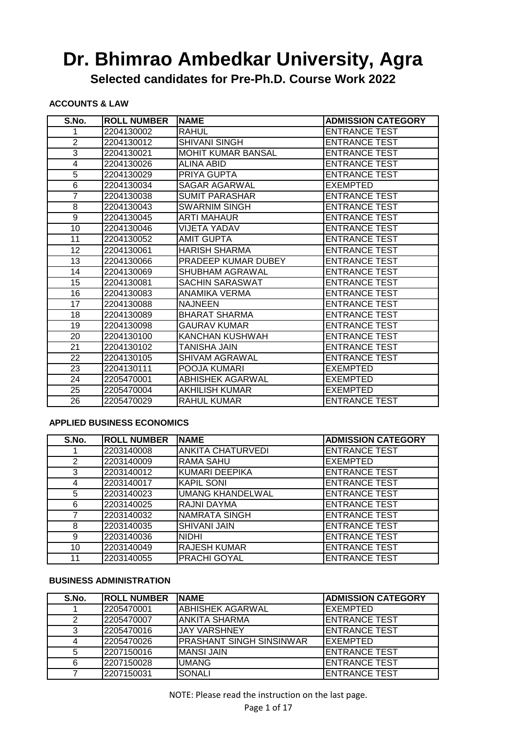**Selected candidates for Pre-Ph.D. Course Work 2022**

#### **ACCOUNTS & LAW**

| S.No.           | <b>ROLL NUMBER</b> | <b>NAME</b>               | <b>ADMISSION CATEGORY</b> |
|-----------------|--------------------|---------------------------|---------------------------|
|                 | 2204130002         | <b>RAHUL</b>              | <b>ENTRANCE TEST</b>      |
| $\overline{2}$  | 2204130012         | <b>SHIVANI SINGH</b>      | <b>ENTRANCE TEST</b>      |
| 3               | 2204130021         | <b>MOHIT KUMAR BANSAL</b> | <b>ENTRANCE TEST</b>      |
| 4               | 2204130026         | <b>ALINA ABID</b>         | <b>ENTRANCE TEST</b>      |
| $\overline{5}$  | 2204130029         | PRIYA GUPTA               | <b>ENTRANCE TEST</b>      |
| 6               | 2204130034         | SAGAR AGARWAL             | <b>EXEMPTED</b>           |
| 7               | 2204130038         | <b>SUMIT PARASHAR</b>     | <b>ENTRANCE TEST</b>      |
| 8               | 2204130043         | <b>SWARNIM SINGH</b>      | <b>ENTRANCE TEST</b>      |
| 9               | 2204130045         | <b>ARTI MAHAUR</b>        | <b>ENTRANCE TEST</b>      |
| 10              | 2204130046         | <b>VIJETA YADAV</b>       | <b>ENTRANCE TEST</b>      |
| 11              | 2204130052         | <b>AMIT GUPTA</b>         | <b>ENTRANCE TEST</b>      |
| 12              | 2204130061         | <b>HARISH SHARMA</b>      | <b>ENTRANCE TEST</b>      |
| 13              | 2204130066         | PRADEEP KUMAR DUBEY       | <b>ENTRANCE TEST</b>      |
| $\overline{14}$ | 2204130069         | <b>SHUBHAM AGRAWAL</b>    | <b>ENTRANCE TEST</b>      |
| 15              | 2204130081         | SACHIN SARASWAT           | <b>ENTRANCE TEST</b>      |
| $\overline{16}$ | 2204130083         | <b>ANAMIKA VERMA</b>      | <b>ENTRANCE TEST</b>      |
| 17              | 2204130088         | <b>NAJNEEN</b>            | <b>ENTRANCE TEST</b>      |
| 18              | 2204130089         | <b>BHARAT SHARMA</b>      | <b>ENTRANCE TEST</b>      |
| 19              | 2204130098         | <b>GAURAV KUMAR</b>       | <b>ENTRANCE TEST</b>      |
| 20              | 2204130100         | KANCHAN KUSHWAH           | <b>ENTRANCE TEST</b>      |
| 21              | 2204130102         | TANISHA JAIN              | <b>ENTRANCE TEST</b>      |
| 22              | 2204130105         | SHIVAM AGRAWAL            | <b>ENTRANCE TEST</b>      |
| 23              | 2204130111         | POOJA KUMARI              | <b>EXEMPTED</b>           |
| 24              | 2205470001         | <b>ABHISHEK AGARWAL</b>   | <b>EXEMPTED</b>           |
| 25              | 2205470004         | <b>AKHILISH KUMAR</b>     | <b>EXEMPTED</b>           |
| 26              | 2205470029         | RAHUL KUMAR               | <b>ENTRANCE TEST</b>      |

#### **APPLIED BUSINESS ECONOMICS**

| S.No. | <b>ROLL NUMBER</b> | INAME                    | <b>ADMISSION CATEGORY</b> |
|-------|--------------------|--------------------------|---------------------------|
|       | 2203140008         | <b>ANKITA CHATURVEDI</b> | <b>ENTRANCE TEST</b>      |
| 2     | 2203140009         | <b>RAMA SAHU</b>         | <b>EXEMPTED</b>           |
| 3     | 2203140012         | <b>KUMARI DEEPIKA</b>    | <b>ENTRANCE TEST</b>      |
| 4     | 2203140017         | KAPIL SONI               | <b>ENTRANCE TEST</b>      |
| 5     | 2203140023         | <b>UMANG KHANDELWAL</b>  | <b>ENTRANCE TEST</b>      |
| 6     | 2203140025         | RAJNI DAYMA              | <b>ENTRANCE TEST</b>      |
|       | 2203140032         | NAMRATA SINGH            | <b>ENTRANCE TEST</b>      |
| 8     | 2203140035         | <b>SHIVANI JAIN</b>      | <b>ENTRANCE TEST</b>      |
| 9     | 2203140036         | <b>NIDHI</b>             | <b>ENTRANCE TEST</b>      |
| 10    | 2203140049         | <b>RAJESH KUMAR</b>      | <b>ENTRANCE TEST</b>      |
| 11    | 2203140055         | <b>PRACHI GOYAL</b>      | <b>ENTRANCE TEST</b>      |

#### **BUSINESS ADMINISTRATION**

| S.No. | <b>ROLL NUMBER</b> | <b>INAME</b>                    | <b>ADMISSION CATEGORY</b> |
|-------|--------------------|---------------------------------|---------------------------|
|       | 2205470001         | <b>ABHISHEK AGARWAL</b>         | EXEMPTED                  |
|       | 2205470007         | ANKITA SHARMA                   | <b>ENTRANCE TEST</b>      |
| 2     | 2205470016         | <b>IJAY VARSHNEY</b>            | <b>ENTRANCE TEST</b>      |
|       | 2205470026         | <b>PRASHANT SINGH SINSINWAR</b> | EXEMPTED                  |
|       | 2207150016         | <b>MANSI JAIN</b>               | <b>ENTRANCE TEST</b>      |
| 6     | 2207150028         | <b>UMANG</b>                    | <b>ENTRANCE TEST</b>      |
|       | 2207150031         | <b>SONALI</b>                   | <b>ENTRANCE TEST</b>      |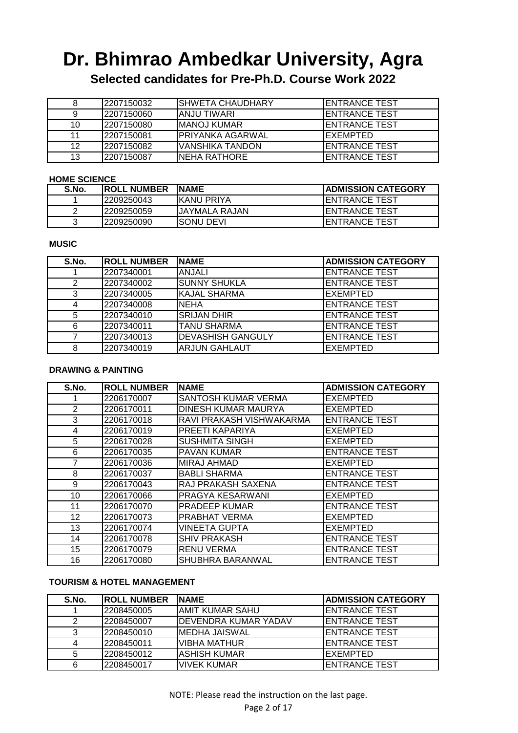**Selected candidates for Pre-Ph.D. Course Work 2022**

|    | <b>2207150032</b> | <b>I</b> SHWETA CHAUDHARY | <b>IENTRANCE TEST</b> |
|----|-------------------|---------------------------|-----------------------|
|    | 12207150060       | IANJU TIWARI              | <b>IENTRANCE TEST</b> |
| 10 | 2207150080        | <b>I</b> MANOJ KUMAR      | <b>IENTRANCE TEST</b> |
| 11 | 2207150081        | IPRIYANKA AGARWAL         | IEXEMPTED             |
| 12 | 12207150082       | <b>IVANSHIKA TANDON</b>   | <b>IENTRANCE TEST</b> |
| 13 | 2207150087        | INEHA RATHORE             | <b>IENTRANCE TEST</b> |

#### **HOME SCIENCE**

| S.No. | <b>IROLL NUMBER</b> | <b>INAME</b>   | <b>IADMISSION CATEGORY</b> |
|-------|---------------------|----------------|----------------------------|
|       | 2209250043          | IKANU PRIYA    | <b>IENTRANCE TEST</b>      |
|       | 12209250059         | IJAYMALA RAJAN | <b>IENTRANCE TEST</b>      |
|       | 12209250090         | ISONU DEVI     | <b>IENTRANCE TEST</b>      |

#### **MUSIC**

| S.No. | <b>ROLL NUMBER</b> | <b>INAME</b>             | <b>ADMISSION CATEGORY</b> |
|-------|--------------------|--------------------------|---------------------------|
|       | 2207340001         | <b>ANJALI</b>            | <b>ENTRANCE TEST</b>      |
| 2     | 2207340002         | <b>SUNNY SHUKLA</b>      | <b>ENTRANCE TEST</b>      |
| 3     | 2207340005         | <b>KAJAL SHARMA</b>      | <b>EXEMPTED</b>           |
| 4     | 2207340008         | <b>NEHA</b>              | <b>ENTRANCE TEST</b>      |
| 5     | 2207340010         | <b>SRIJAN DHIR</b>       | <b>ENTRANCE TEST</b>      |
| 6     | 2207340011         | <b>TANU SHARMA</b>       | <b>ENTRANCE TEST</b>      |
|       | 2207340013         | <b>DEVASHISH GANGULY</b> | <b>ENTRANCE TEST</b>      |
| 8     | 2207340019         | <b>ARJUN GAHLAUT</b>     | EXEMPTED                  |

#### **DRAWING & PAINTING**

| S.No. | <b>ROLL NUMBER</b> | <b>NAME</b>              | <b>ADMISSION CATEGORY</b> |
|-------|--------------------|--------------------------|---------------------------|
|       | 2206170007         | SANTOSH KUMAR VERMA      | <b>EXEMPTED</b>           |
| 2     | 2206170011         | DINESH KUMAR MAURYA      | <b>EXEMPTED</b>           |
| 3     | 2206170018         | RAVI PRAKASH VISHWAKARMA | <b>ENTRANCE TEST</b>      |
| 4     | 2206170019         | PREETI KAPARIYA          | <b>EXEMPTED</b>           |
| 5     | 2206170028         | <b>SUSHMITA SINGH</b>    | <b>EXEMPTED</b>           |
| 6     | 2206170035         | <b>PAVAN KUMAR</b>       | <b>ENTRANCE TEST</b>      |
| 7     | 2206170036         | <b>MIRAJ AHMAD</b>       | <b>EXEMPTED</b>           |
| 8     | 2206170037         | <b>BABLI SHARMA</b>      | <b>ENTRANCE TEST</b>      |
| 9     | 2206170043         | RAJ PRAKASH SAXENA       | <b>ENTRANCE TEST</b>      |
| 10    | 2206170066         | PRAGYA KESARWANI         | <b>EXEMPTED</b>           |
| 11    | 2206170070         | <b>PRADEEP KUMAR</b>     | <b>ENTRANCE TEST</b>      |
| 12    | 2206170073         | PRABHAT VERMA            | <b>EXEMPTED</b>           |
| 13    | 2206170074         | VINEETA GUPTA            | <b>EXEMPTED</b>           |
| 14    | 2206170078         | <b>SHIV PRAKASH</b>      | <b>ENTRANCE TEST</b>      |
| 15    | 2206170079         | <b>RENU VERMA</b>        | <b>ENTRANCE TEST</b>      |
| 16    | 2206170080         | SHUBHRA BARANWAL         | <b>ENTRANCE TEST</b>      |

#### **TOURISM & HOTEL MANAGEMENT**

| S.No. | <b>IROLL NUMBER</b> | <b>INAME</b>          | <b>ADMISSION CATEGORY</b> |
|-------|---------------------|-----------------------|---------------------------|
|       | 2208450005          | IAMIT KUMAR SAHU      | <b>I</b> ENTRANCE TEST    |
|       | 2208450007          | IDEVENDRA KUMAR YADAV | <b>IENTRANCE TEST</b>     |
|       | 2208450010          | IMEDHA JAISWAL        | <b>IENTRANCE TEST</b>     |
|       | 2208450011          | IVIBHA MATHUR         | <b>IENTRANCE TEST</b>     |
|       | 2208450012          | <b>ASHISH KUMAR</b>   | EXEMPTED                  |
| 6     | 2208450017          | IVIVEK KUMAR          | <b>I</b> ENTRANCE TEST    |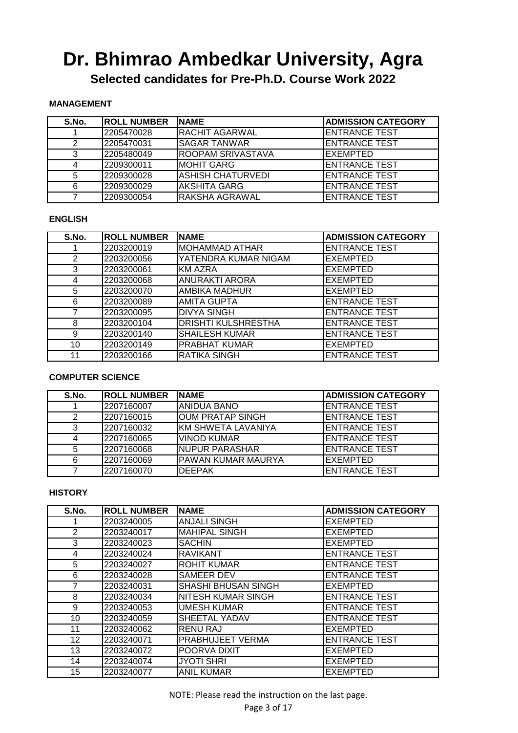**Selected candidates for Pre-Ph.D. Course Work 2022**

#### **MANAGEMENT**

| S.No. | <b>ROLL NUMBER</b> | <b>INAME</b>              | <b>ADMISSION CATEGORY</b> |
|-------|--------------------|---------------------------|---------------------------|
|       | 2205470028         | <b>IRACHIT AGARWAL</b>    | <b>ENTRANCE TEST</b>      |
|       | 2205470031         | ISAGAR TANWAR             | <b>ENTRANCE TEST</b>      |
|       | 2205480049         | <b>IROOPAM SRIVASTAVA</b> | <b>EXEMPTED</b>           |
|       | 2209300011         | <b>IMOHIT GARG</b>        | <b>ENTRANCE TEST</b>      |
|       | 2209300028         | IASHISH CHATURVEDI        | <b>ENTRANCE TEST</b>      |
| 6     | 2209300029         | <b>AKSHITA GARG</b>       | <b>ENTRANCE TEST</b>      |
|       | 2209300054         | <b>RAKSHA AGRAWAL</b>     | <b>ENTRANCE TEST</b>      |

#### **ENGLISH**

| S.No. | <b>ROLL NUMBER</b> | <b>NAME</b>                | <b>ADMISSION CATEGORY</b> |
|-------|--------------------|----------------------------|---------------------------|
|       | 2203200019         | <b>MOHAMMAD ATHAR</b>      | <b>ENTRANCE TEST</b>      |
| 2     | 2203200056         | YATENDRA KUMAR NIGAM       | <b>EXEMPTED</b>           |
| 3     | 2203200061         | <b>KM AZRA</b>             | <b>EXEMPTED</b>           |
| 4     | 2203200068         | <b>ANURAKTI ARORA</b>      | <b>EXEMPTED</b>           |
| 5     | 2203200070         | AMBIKA MADHUR              | <b>EXEMPTED</b>           |
| 6     | 2203200089         | <b>AMITA GUPTA</b>         | <b>ENTRANCE TEST</b>      |
|       | 2203200095         | <b>DIVYA SINGH</b>         | <b>ENTRANCE TEST</b>      |
| 8     | 2203200104         | <b>DRISHTI KULSHRESTHA</b> | <b>ENTRANCE TEST</b>      |
| 9     | 2203200140         | <b>SHAILESH KUMAR</b>      | <b>ENTRANCE TEST</b>      |
| 10    | 2203200149         | <b>PRABHAT KUMAR</b>       | <b>EXEMPTED</b>           |
| 11    | 2203200166         | RATIKA SINGH               | <b>ENTRANCE TEST</b>      |

#### **COMPUTER SCIENCE**

| S.No. | <b>IROLL NUMBER</b> | INAME                     | <b> ADMISSION CATEGORY</b> |
|-------|---------------------|---------------------------|----------------------------|
|       | 2207160007          | ANIDUA BANO               | <b>IENTRANCE TEST</b>      |
| 2     | 2207160015          | OUM PRATAP SINGH          | <b>IENTRANCE TEST</b>      |
| 3     | 2207160032          | <b>KM SHWETA LAVANIYA</b> | <b>ENTRANCE TEST</b>       |
| Δ     | 2207160065          | <b>VINOD KUMAR</b>        | <b>ENTRANCE TEST</b>       |
| 5     | 2207160068          | <b>NUPUR PARASHAR</b>     | <b>ENTRANCE TEST</b>       |
| 6     | 2207160069          | <b>PAWAN KUMAR MAURYA</b> | <b>EXEMPTED</b>            |
|       | 2207160070          | <b>DEEPAK</b>             | <b>ENTRANCE TEST</b>       |

#### **HISTORY**

| S.No.          | <b>ROLL NUMBER</b> | <b>NAME</b>               | <b>ADMISSION CATEGORY</b> |
|----------------|--------------------|---------------------------|---------------------------|
|                | 2203240005         | <b>ANJALI SINGH</b>       | <b>EXEMPTED</b>           |
| $\overline{2}$ | 2203240017         | <b>MAHIPAL SINGH</b>      | <b>EXEMPTED</b>           |
| 3              | 2203240023         | <b>SACHIN</b>             | <b>EXEMPTED</b>           |
| 4              | 2203240024         | <b>RAVIKANT</b>           | <b>ENTRANCE TEST</b>      |
| 5              | 2203240027         | <b>ROHIT KUMAR</b>        | <b>ENTRANCE TEST</b>      |
| 6              | 2203240028         | <b>SAMEER DEV</b>         | <b>ENTRANCE TEST</b>      |
| 7              | 2203240031         | SHASHI BHUSAN SINGH       | <b>EXEMPTED</b>           |
| 8              | 2203240034         | <b>NITESH KUMAR SINGH</b> | <b>ENTRANCE TEST</b>      |
| 9              | 2203240053         | <b>UMESH KUMAR</b>        | <b>ENTRANCE TEST</b>      |
| 10             | 2203240059         | SHEETAL YADAV             | <b>ENTRANCE TEST</b>      |
| 11             | 2203240062         | <b>RENU RAJ</b>           | <b>EXEMPTED</b>           |
| 12             | 2203240071         | PRABHUJEET VERMA          | <b>ENTRANCE TEST</b>      |
| 13             | 2203240072         | POORVA DIXIT              | <b>EXEMPTED</b>           |
| 14             | 2203240074         | <b>JYOTI SHRI</b>         | <b>EXEMPTED</b>           |
| 15             | 2203240077         | <b>ANIL KUMAR</b>         | <b>EXEMPTED</b>           |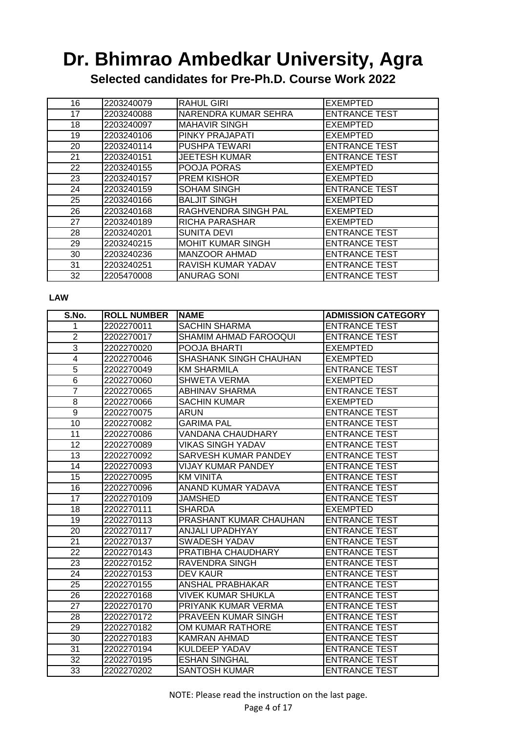**Selected candidates for Pre-Ph.D. Course Work 2022**

| 16 | 2203240079 | <b>RAHUL GIRI</b>           | <b>EXEMPTED</b>      |
|----|------------|-----------------------------|----------------------|
| 17 | 2203240088 | NARENDRA KUMAR SEHRA        | <b>ENTRANCE TEST</b> |
| 18 | 2203240097 | <b>MAHAVIR SINGH</b>        | <b>EXEMPTED</b>      |
| 19 | 2203240106 | <b>PINKY PRAJAPATI</b>      | EXEMPTED             |
| 20 | 2203240114 | <b>PUSHPA TEWARI</b>        | <b>ENTRANCE TEST</b> |
| 21 | 2203240151 | <b>JEETESH KUMAR</b>        | <b>ENTRANCE TEST</b> |
| 22 | 2203240155 | <b>POOJA PORAS</b>          | <b>EXEMPTED</b>      |
| 23 | 2203240157 | <b>PREM KISHOR</b>          | <b>EXEMPTED</b>      |
| 24 | 2203240159 | <b>SOHAM SINGH</b>          | <b>ENTRANCE TEST</b> |
| 25 | 2203240166 | <b>BALJIT SINGH</b>         | <b>EXEMPTED</b>      |
| 26 | 2203240168 | <b>RAGHVENDRA SINGH PAL</b> | <b>EXEMPTED</b>      |
| 27 | 2203240189 | <b>RICHA PARASHAR</b>       | <b>EXEMPTED</b>      |
| 28 | 2203240201 | <b>SUNITA DEVI</b>          | <b>ENTRANCE TEST</b> |
| 29 | 2203240215 | <b>MOHIT KUMAR SINGH</b>    | <b>ENTRANCE TEST</b> |
| 30 | 2203240236 | <b>MANZOOR AHMAD</b>        | <b>ENTRANCE TEST</b> |
| 31 | 2203240251 | <b>RAVISH KUMAR YADAV</b>   | <b>ENTRANCE TEST</b> |
| 32 | 2205470008 | <b>ANURAG SONI</b>          | <b>ENTRANCE TEST</b> |

#### **LAW**

| S.No.                   | <b>ROLL NUMBER</b> | <b>NAME</b>               | <b>ADMISSION CATEGORY</b> |
|-------------------------|--------------------|---------------------------|---------------------------|
| 1                       | 2202270011         | <b>SACHIN SHARMA</b>      | <b>ENTRANCE TEST</b>      |
| $\overline{2}$          | 2202270017         | SHAMIM AHMAD FAROOQUI     | <b>ENTRANCE TEST</b>      |
| $\overline{3}$          | 2202270020         | POOJA BHARTI              | <b>EXEMPTED</b>           |
| $\overline{\mathbf{4}}$ | 2202270046         | SHASHANK SINGH CHAUHAN    | <b>EXEMPTED</b>           |
| $\overline{5}$          | 2202270049         | <b>KM SHARMILA</b>        | <b>ENTRANCE TEST</b>      |
| 6                       | 2202270060         | <b>SHWETA VERMA</b>       | <b>EXEMPTED</b>           |
| 7                       | 2202270065         | <b>ABHINAV SHARMA</b>     | <b>ENTRANCE TEST</b>      |
| $\overline{8}$          | 2202270066         | <b>SACHIN KUMAR</b>       | <b>EXEMPTED</b>           |
| $\overline{9}$          | 2202270075         | ARUN                      | <b>ENTRANCE TEST</b>      |
| 10                      | 2202270082         | <b>GARIMA PAL</b>         | <b>ENTRANCE TEST</b>      |
| 11                      | 2202270086         | <b>VANDANA CHAUDHARY</b>  | <b>ENTRANCE TEST</b>      |
| 12                      | 2202270089         | <b>VIKAS SINGH YADAV</b>  | <b>ENTRANCE TEST</b>      |
| 13                      | 2202270092         | SARVESH KUMAR PANDEY      | <b>ENTRANCE TEST</b>      |
| 14                      | 2202270093         | <b>VIJAY KUMAR PANDEY</b> | <b>ENTRANCE TEST</b>      |
| 15                      | 2202270095         | <b>KM VINITA</b>          | <b>ENTRANCE TEST</b>      |
| 16                      | 2202270096         | ANAND KUMAR YADAVA        | <b>ENTRANCE TEST</b>      |
| $\overline{17}$         | 2202270109         | <b>JAMSHED</b>            | <b>ENTRANCE TEST</b>      |
| 18                      | 2202270111         | <b>SHARDA</b>             | <b>EXEMPTED</b>           |
| 19                      | 2202270113         | PRASHANT KUMAR CHAUHAN    | <b>ENTRANCE TEST</b>      |
| 20                      | 2202270117         | ANJALI UPADHYAY           | <b>ENTRANCE TEST</b>      |
| 21                      | 2202270137         | <b>SWADESH YADAV</b>      | <b>ENTRANCE TEST</b>      |
| $\overline{22}$         | 2202270143         | PRATIBHA CHAUDHARY        | <b>ENTRANCE TEST</b>      |
| 23                      | 2202270152         | <b>RAVENDRA SINGH</b>     | <b>ENTRANCE TEST</b>      |
| 24                      | 2202270153         | <b>DEV KAUR</b>           | <b>ENTRANCE TEST</b>      |
| 25                      | 2202270155         | <b>ANSHAL PRABHAKAR</b>   | <b>ENTRANCE TEST</b>      |
| 26                      | 2202270168         | <b>VIVEK KUMAR SHUKLA</b> | <b>ENTRANCE TEST</b>      |
| $\overline{27}$         | 2202270170         | PRIYANK KUMAR VERMA       | <b>ENTRANCE TEST</b>      |
| 28                      | 2202270172         | PRAVEEN KUMAR SINGH       | <b>ENTRANCE TEST</b>      |
| 29                      | 2202270182         | OM KUMAR RATHORE          | <b>ENTRANCE TEST</b>      |
| 30                      | 2202270183         | KAMRAN AHMAD              | <b>ENTRANCE TEST</b>      |
| 31                      | 2202270194         | KULDEEP YADAV             | <b>ENTRANCE TEST</b>      |
| 32                      | 2202270195         | <b>ESHAN SINGHAL</b>      | <b>ENTRANCE TEST</b>      |
| 33                      | 2202270202         | <b>SANTOSH KUMAR</b>      | <b>ENTRANCE TEST</b>      |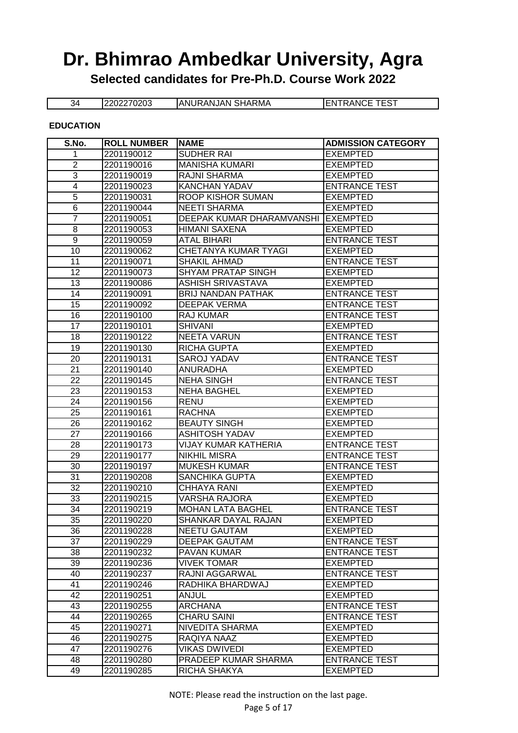**Selected candidates for Pre-Ph.D. Course Work 2022**

34 2202270203 ANURANJAN SHARMA ENTRANCE TEST

#### **EDUCATION**

| S.No.                   | <b>ROLL NUMBER</b>       | <b>NAME</b>                         | <b>ADMISSION CATEGORY</b>               |
|-------------------------|--------------------------|-------------------------------------|-----------------------------------------|
| 1                       | 2201190012               | <b>SUDHER RAI</b>                   | <b>EXEMPTED</b>                         |
| $\overline{2}$          | 2201190016               | <b>MANISHA KUMARI</b>               | <b>EXEMPTED</b>                         |
| 3                       | 2201190019               | <b>RAJNI SHARMA</b>                 | <b>EXEMPTED</b>                         |
| $\overline{\mathbf{4}}$ | 2201190023               | <b>KANCHAN YADAV</b>                | <b>ENTRANCE TEST</b>                    |
| 5                       | 2201190031               | ROOP KISHOR SUMAN                   | <b>EXEMPTED</b>                         |
| $6\phantom{1}6$         | 2201190044               | <b>NEETI SHARMA</b>                 | <b>EXEMPTED</b>                         |
| $\overline{7}$          | 2201190051               | DEEPAK KUMAR DHARAMVANSHI           | <b>EXEMPTED</b>                         |
| 8                       | 2201190053               | <b>HIMANI SAXENA</b>                | <b>EXEMPTED</b>                         |
| $\boldsymbol{9}$        | 2201190059               | <b>ATAL BIHARI</b>                  | <b>ENTRANCE TEST</b>                    |
| 10                      | 2201190062               | CHETANYA KUMAR TYAGI                | <b>EXEMPTED</b>                         |
| 11                      | 2201190071               | <b>SHAKIL AHMAD</b>                 | <b>ENTRANCE TEST</b>                    |
| 12                      | 2201190073               | <b>SHYAM PRATAP SINGH</b>           | <b>EXEMPTED</b>                         |
| 13                      | 2201190086               | <b>ASHISH SRIVASTAVA</b>            | <b>EXEMPTED</b>                         |
| 14                      | 2201190091               | <b>BRIJ NANDAN PATHAK</b>           | <b>ENTRANCE TEST</b>                    |
| 15                      | 2201190092               | <b>DEEPAK VERMA</b>                 | <b>ENTRANCE TEST</b>                    |
| 16                      | 2201190100               | <b>RAJ KUMAR</b>                    | <b>ENTRANCE TEST</b>                    |
| 17                      | 2201190101               | <b>SHIVANI</b>                      | <b>EXEMPTED</b>                         |
| 18                      | 2201190122               | <b>NEETA VARUN</b>                  | <b>ENTRANCE TEST</b>                    |
| 19                      | 2201190130               | <b>RICHA GUPTA</b>                  | <b>EXEMPTED</b>                         |
| 20                      | 2201190131               | <b>SAROJ YADAV</b>                  | <b>ENTRANCE TEST</b>                    |
| 21                      | 2201190140               | <b>ANURADHA</b>                     | <b>EXEMPTED</b>                         |
| 22                      | 2201190145               | <b>NEHA SINGH</b>                   | <b>ENTRANCE TEST</b>                    |
| 23                      | 2201190153               | <b>NEHA BAGHEL</b>                  | <b>EXEMPTED</b>                         |
| 24                      | 2201190156               | <b>RENU</b>                         | <b>EXEMPTED</b>                         |
| $\overline{25}$         | 2201190161               | <b>RACHNA</b>                       | <b>EXEMPTED</b>                         |
| 26                      | 2201190162               | <b>BEAUTY SINGH</b>                 | <b>EXEMPTED</b>                         |
| 27                      | 2201190166               | <b>ASHITOSH YADAV</b>               | <b>EXEMPTED</b>                         |
| 28                      | 2201190173               | <b>VIJAY KUMAR KATHERIA</b>         | <b>ENTRANCE TEST</b>                    |
| 29                      | 2201190177               | <b>NIKHIL MISRA</b>                 | <b>ENTRANCE TEST</b>                    |
| 30                      | 2201190197               | <b>MUKESH KUMAR</b>                 | <b>ENTRANCE TEST</b>                    |
| 31                      | 2201190208               | <b>SANCHIKA GUPTA</b>               | <b>EXEMPTED</b>                         |
| $\overline{32}$         | 2201190210               | <b>CHHAYA RANI</b>                  | <b>EXEMPTED</b>                         |
| 33                      | 2201190215               | VARSHA RAJORA                       | <b>EXEMPTED</b>                         |
| 34                      | 2201190219               | <b>MOHAN LATA BAGHEL</b>            | <b>ENTRANCE TEST</b>                    |
| 35                      | 2201190220               | SHANKAR DAYAL RAJAN                 | <b>EXEMPTED</b>                         |
| 36                      | 2201190228               | <b>NEETU GAUTAM</b>                 | <b>EXEMPTED</b>                         |
| 37                      | 2201190229               | <b>DEEPAK GAUTAM</b>                | <b>ENTRANCE TEST</b>                    |
| 38                      | 2201190232               | PAVAN KUMAR                         | <b>ENTRANCE TEST</b>                    |
| 39                      | 2201190236               | <b>VIVEK TOMAR</b>                  | <b>EXEMPTED</b>                         |
| 40                      | 2201190237               | RAJNI AGGARWAL                      | <b>ENTRANCE TEST</b>                    |
| 41                      | 2201190246               | RADHIKA BHARDWAJ                    | <b>EXEMPTED</b>                         |
| 42                      | 2201190251               | <b>ANJUL</b>                        | <b>EXEMPTED</b>                         |
| 43                      | 2201190255               | <b>ARCHANA</b>                      | <b>ENTRANCE TEST</b>                    |
| 44<br>45                | 2201190265               | <b>CHARU SAINI</b>                  | <b>ENTRANCE TEST</b><br><b>EXEMPTED</b> |
| 46                      | 2201190271               | NIVEDITA SHARMA                     |                                         |
| 47                      | 2201190275<br>2201190276 | RAQIYA NAAZ<br><b>VIKAS DWIVEDI</b> | <b>EXEMPTED</b><br><b>EXEMPTED</b>      |
| 48                      |                          | PRADEEP KUMAR SHARMA                | <b>ENTRANCE TEST</b>                    |
| 49                      | 2201190280<br>2201190285 | RICHA SHAKYA                        | <b>EXEMPTED</b>                         |
|                         |                          |                                     |                                         |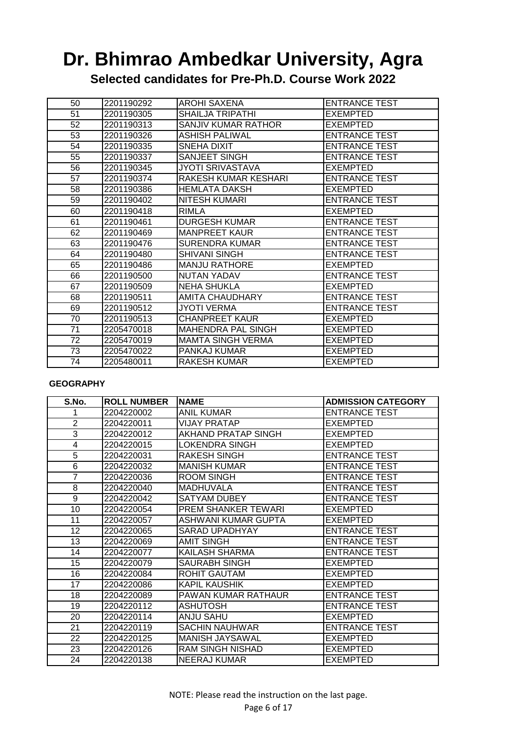**Selected candidates for Pre-Ph.D. Course Work 2022**

| 50 | 2201190292 | <b>AROHI SAXENA</b>       | <b>ENTRANCE TEST</b> |
|----|------------|---------------------------|----------------------|
| 51 | 2201190305 | <b>SHAILJA TRIPATHI</b>   | EXEMPTED             |
| 52 | 2201190313 | SANJIV KUMAR RATHOR       | EXEMPTED             |
| 53 | 2201190326 | ASHISH PALIWAL            | <b>ENTRANCE TEST</b> |
| 54 | 2201190335 | <b>SNEHA DIXIT</b>        | <b>ENTRANCE TEST</b> |
| 55 | 2201190337 | SANJEET SINGH             | <b>ENTRANCE TEST</b> |
| 56 | 2201190345 | JYOTI SRIVASTAVA          | EXEMPTED             |
| 57 | 2201190374 | RAKESH KUMAR KESHARI      | <b>ENTRANCE TEST</b> |
| 58 | 2201190386 | <b>HEMLATA DAKSH</b>      | EXEMPTED             |
| 59 | 2201190402 | <b>NITESH KUMARI</b>      | <b>ENTRANCE TEST</b> |
| 60 | 2201190418 | <b>RIMLA</b>              | <b>EXEMPTED</b>      |
| 61 | 2201190461 | <b>DURGESH KUMAR</b>      | <b>ENTRANCE TEST</b> |
| 62 | 2201190469 | <b>MANPREET KAUR</b>      | <b>ENTRANCE TEST</b> |
| 63 | 2201190476 | <b>SURENDRA KUMAR</b>     | <b>ENTRANCE TEST</b> |
| 64 | 2201190480 | <b>SHIVANI SINGH</b>      | <b>ENTRANCE TEST</b> |
| 65 | 2201190486 | <b>MANJU RATHORE</b>      | EXEMPTED             |
| 66 | 2201190500 | <b>NUTAN YADAV</b>        | <b>ENTRANCE TEST</b> |
| 67 | 2201190509 | <b>NEHA SHUKLA</b>        | EXEMPTED             |
| 68 | 2201190511 | AMITA CHAUDHARY           | <b>ENTRANCE TEST</b> |
| 69 | 2201190512 | JYOTI VERMA               | <b>ENTRANCE TEST</b> |
| 70 | 2201190513 | <b>CHANPREET KAUR</b>     | <b>EXEMPTED</b>      |
| 71 | 2205470018 | <b>MAHENDRA PAL SINGH</b> | <b>EXEMPTED</b>      |
| 72 | 2205470019 | <b>MAMTA SINGH VERMA</b>  | EXEMPTED             |
| 73 | 2205470022 | PANKAJ KUMAR              | <b>EXEMPTED</b>      |
| 74 | 2205480011 | <b>RAKESH KUMAR</b>       | EXEMPTED             |

#### **GEOGRAPHY**

| S.No.          | <b>ROLL NUMBER</b> | <b>NAME</b>                | <b>ADMISSION CATEGORY</b> |
|----------------|--------------------|----------------------------|---------------------------|
|                | 2204220002         | ANIL KUMAR                 | <b>ENTRANCE TEST</b>      |
| $\overline{2}$ | 2204220011         | VIJAY PRATAP               | EXEMPTED                  |
| 3              | 2204220012         | <b>AKHAND PRATAP SINGH</b> | EXEMPTED                  |
| 4              | 2204220015         | LOKENDRA SINGH             | EXEMPTED                  |
| 5              | 2204220031         | <b>RAKESH SINGH</b>        | <b>ENTRANCE TEST</b>      |
| $\overline{6}$ | 2204220032         | <b>MANISH KUMAR</b>        | <b>ENTRANCE TEST</b>      |
| 7              | 2204220036         | <b>ROOM SINGH</b>          | <b>ENTRANCE TEST</b>      |
| 8              | 2204220040         | <b>MADHUVALA</b>           | <b>ENTRANCE TEST</b>      |
| 9              | 2204220042         | SATYAM DUBEY               | <b>ENTRANCE TEST</b>      |
| 10             | 2204220054         | <b>PREM SHANKER TEWARI</b> | <b>EXEMPTED</b>           |
| 11             | 2204220057         | ASHWANI KUMAR GUPTA        | EXEMPTED                  |
| 12             | 2204220065         | SARAD UPADHYAY             | <b>ENTRANCE TEST</b>      |
| 13             | 2204220069         | AMIT SINGH                 | <b>ENTRANCE TEST</b>      |
| 14             | 2204220077         | KAILASH SHARMA             | <b>ENTRANCE TEST</b>      |
| 15             | 2204220079         | SAURABH SINGH              | <b>EXEMPTED</b>           |
| 16             | 2204220084         | ROHIT GAUTAM               | <b>EXEMPTED</b>           |
| 17             | 2204220086         | KAPIL KAUSHIK              | <b>EXEMPTED</b>           |
| 18             | 2204220089         | PAWAN KUMAR RATHAUR        | <b>ENTRANCE TEST</b>      |
| 19             | 2204220112         | <b>ASHUTOSH</b>            | <b>ENTRANCE TEST</b>      |
| 20             | 2204220114         | <b>ANJU SAHU</b>           | EXEMPTED                  |
| 21             | 2204220119         | <b>SACHIN NAUHWAR</b>      | <b>ENTRANCE TEST</b>      |
| 22             | 2204220125         | <b>MANISH JAYSAWAL</b>     | EXEMPTED                  |
| 23             | 2204220126         | RAM SINGH NISHAD           | EXEMPTED                  |
| 24             | 2204220138         | <b>NEERAJ KUMAR</b>        | <b>EXEMPTED</b>           |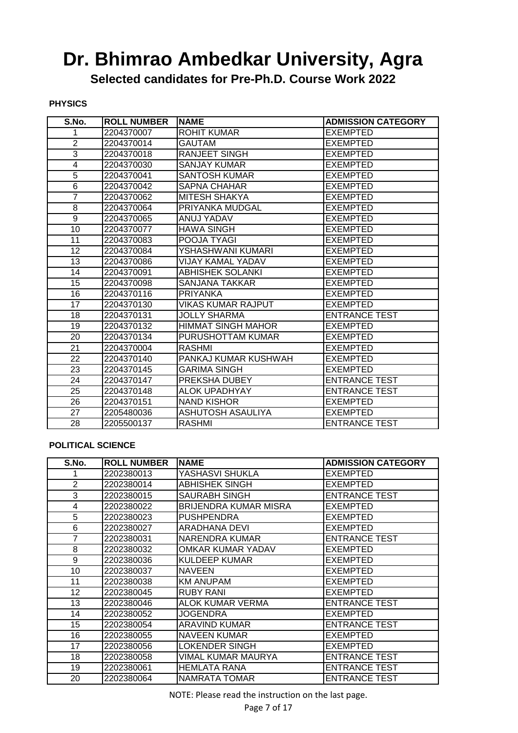**Selected candidates for Pre-Ph.D. Course Work 2022**

**PHYSICS**

| S.No.           | <b>ROLL NUMBER</b> | <b>NAME</b>               | <b>ADMISSION CATEGORY</b> |
|-----------------|--------------------|---------------------------|---------------------------|
| 1               | 2204370007         | <b>ROHIT KUMAR</b>        | <b>EXEMPTED</b>           |
| $\overline{2}$  | 2204370014         | <b>GAUTAM</b>             | <b>EXEMPTED</b>           |
| 3               | 2204370018         | RANJEET SINGH             | <b>EXEMPTED</b>           |
| 4               | 2204370030         | <b>SANJAY KUMAR</b>       | <b>EXEMPTED</b>           |
| 5               | 2204370041         | <b>SANTOSH KUMAR</b>      | <b>EXEMPTED</b>           |
| $\overline{6}$  | 2204370042         | <b>SAPNA CHAHAR</b>       | <b>EXEMPTED</b>           |
| 7               | 2204370062         | <b>MITESH SHAKYA</b>      | <b>EXEMPTED</b>           |
| 8               | 2204370064         | PRIYANKA MUDGAL           | <b>EXEMPTED</b>           |
| 9               | 2204370065         | ANUJ YADAV                | <b>EXEMPTED</b>           |
| 10              | 2204370077         | <b>HAWA SINGH</b>         | <b>EXEMPTED</b>           |
| 11              | 2204370083         | POOJA TYAGI               | <b>EXEMPTED</b>           |
| 12              | 2204370084         | YSHASHWANI KUMARI         | <b>EXEMPTED</b>           |
| 13              | 2204370086         | <b>VIJAY KAMAL YADAV</b>  | <b>EXEMPTED</b>           |
| 14              | 2204370091         | <b>ABHISHEK SOLANKI</b>   | <b>EXEMPTED</b>           |
| 15              | 2204370098         | SANJANA TAKKAR            | <b>EXEMPTED</b>           |
| 16              | 2204370116         | <b>PRIYANKA</b>           | <b>EXEMPTED</b>           |
| 17              | 2204370130         | VIKAS KUMAR RAJPUT        | <b>EXEMPTED</b>           |
| 18              | 2204370131         | <b>JOLLY SHARMA</b>       | <b>ENTRANCE TEST</b>      |
| 19              | 2204370132         | <b>HIMMAT SINGH MAHOR</b> | <b>EXEMPTED</b>           |
| 20              | 2204370134         | PURUSHOTTAM KUMAR         | <b>EXEMPTED</b>           |
| 21              | 2204370004         | <b>RASHMI</b>             | <b>EXEMPTED</b>           |
| 22              | 2204370140         | PANKAJ KUMAR KUSHWAH      | <b>EXEMPTED</b>           |
| 23              | 2204370145         | <b>GARIMA SINGH</b>       | <b>EXEMPTED</b>           |
| 24              | 2204370147         | PREKSHA DUBEY             | <b>ENTRANCE TEST</b>      |
| 25              | 2204370148         | <b>ALOK UPADHYAY</b>      | <b>ENTRANCE TEST</b>      |
| 26              | 2204370151         | <b>NAND KISHOR</b>        | <b>EXEMPTED</b>           |
| $\overline{27}$ | 2205480036         | <b>ASHUTOSH ASAULIYA</b>  | <b>EXEMPTED</b>           |
| 28              | 2205500137         | <b>RASHMI</b>             | <b>ENTRANCE TEST</b>      |

#### **POLITICAL SCIENCE**

| S.No.          | <b>ROLL NUMBER</b> | <b>NAME</b>               | <b>ADMISSION CATEGORY</b> |
|----------------|--------------------|---------------------------|---------------------------|
|                | 2202380013         | YASHASVI SHUKLA           | <b>EXEMPTED</b>           |
| $\overline{2}$ | 2202380014         | <b>ABHISHEK SINGH</b>     | EXEMPTED                  |
| 3              | 2202380015         | <b>SAURABH SINGH</b>      | <b>ENTRANCE TEST</b>      |
| 4              | 2202380022         | BRIJENDRA KUMAR MISRA     | <b>EXEMPTED</b>           |
| 5              | 2202380023         | <b>PUSHPENDRA</b>         | <b>EXEMPTED</b>           |
| 6              | 2202380027         | <b>ARADHANA DEVI</b>      | <b>EXEMPTED</b>           |
| 7              | 2202380031         | <b>NARENDRA KUMAR</b>     | <b>ENTRANCE TEST</b>      |
| 8              | 2202380032         | OMKAR KUMAR YADAV         | EXEMPTED                  |
| 9              | 2202380036         | <b>KULDEEP KUMAR</b>      | <b>EXEMPTED</b>           |
| 10             | 2202380037         | <b>NAVEEN</b>             | <b>EXEMPTED</b>           |
| 11             | 2202380038         | <b>KM ANUPAM</b>          | <b>EXEMPTED</b>           |
| 12             | 2202380045         | <b>RUBY RANI</b>          | EXEMPTED                  |
| 13             | 2202380046         | <b>ALOK KUMAR VERMA</b>   | <b>ENTRANCE TEST</b>      |
| 14             | 2202380052         | <b>JOGENDRA</b>           | <b>EXEMPTED</b>           |
| 15             | 2202380054         | <b>ARAVIND KUMAR</b>      | <b>ENTRANCE TEST</b>      |
| 16             | 2202380055         | <b>NAVEEN KUMAR</b>       | <b>EXEMPTED</b>           |
| 17             | 2202380056         | LOKENDER SINGH            | <b>EXEMPTED</b>           |
| 18             | 2202380058         | <b>VIMAL KUMAR MAURYA</b> | <b>ENTRANCE TEST</b>      |
| 19             | 2202380061         | <b>HEMLATA RANA</b>       | <b>ENTRANCE TEST</b>      |
| 20             | 2202380064         | NAMRATA TOMAR             | <b>ENTRANCE TEST</b>      |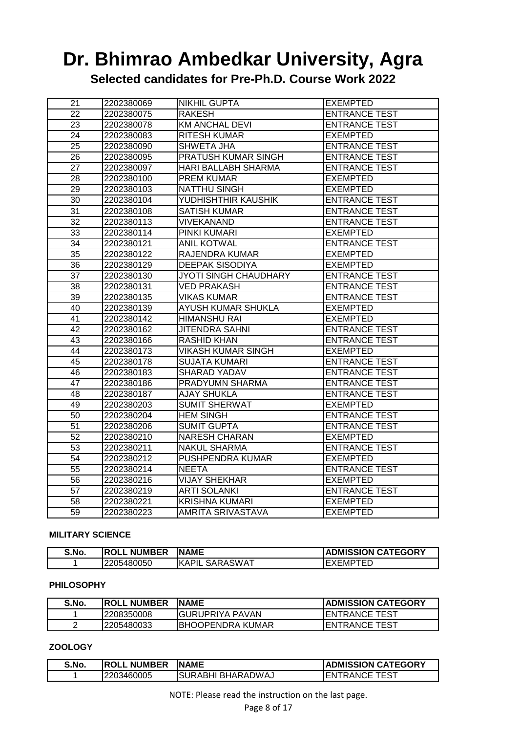**Selected candidates for Pre-Ph.D. Course Work 2022**

| 21              | 2202380069 | <b>NIKHIL GUPTA</b>          | <b>EXEMPTED</b>      |
|-----------------|------------|------------------------------|----------------------|
| 22              | 2202380075 | <b>RAKESH</b>                | <b>ENTRANCE TEST</b> |
| 23              | 2202380078 | <b>KM ANCHAL DEVI</b>        | <b>ENTRANCE TEST</b> |
| 24              | 2202380083 | <b>RITESH KUMAR</b>          | <b>EXEMPTED</b>      |
| $\overline{25}$ | 2202380090 | <b>SHWETA JHA</b>            | <b>ENTRANCE TEST</b> |
| 26              | 2202380095 | PRATUSH KUMAR SINGH          | <b>ENTRANCE TEST</b> |
| 27              | 2202380097 | HARI BALLABH SHARMA          | <b>ENTRANCE TEST</b> |
| 28              | 2202380100 | PREM KUMAR                   | <b>EXEMPTED</b>      |
| 29              | 2202380103 | <b>NATTHU SINGH</b>          | <b>EXEMPTED</b>      |
| 30              | 2202380104 | YUDHISHTHIR KAUSHIK          | <b>ENTRANCE TEST</b> |
| 31              | 2202380108 | <b>SATISH KUMAR</b>          | <b>ENTRANCE TEST</b> |
| 32              | 2202380113 | <b>VIVEKANAND</b>            | <b>ENTRANCE TEST</b> |
| 33              | 2202380114 | PINKI KUMARI                 | <b>EXEMPTED</b>      |
| $\overline{34}$ | 2202380121 | <b>ANIL KOTWAL</b>           | <b>ENTRANCE TEST</b> |
| 35              | 2202380122 | RAJENDRA KUMAR               | <b>EXEMPTED</b>      |
| 36              | 2202380129 | <b>DEEPAK SISODIYA</b>       | <b>EXEMPTED</b>      |
| $\overline{37}$ | 2202380130 | <b>JYOTI SINGH CHAUDHARY</b> | <b>ENTRANCE TEST</b> |
| 38              | 2202380131 | <b>VED PRAKASH</b>           | <b>ENTRANCE TEST</b> |
| $\overline{39}$ | 2202380135 | <b>VIKAS KUMAR</b>           | <b>ENTRANCE TEST</b> |
| 40              | 2202380139 | AYUSH KUMAR SHUKLA           | <b>EXEMPTED</b>      |
| 41              | 2202380142 | <b>HIMANSHU RAI</b>          | <b>EXEMPTED</b>      |
| 42              | 2202380162 | <b>JITENDRA SAHNI</b>        | <b>ENTRANCE TEST</b> |
| $\overline{43}$ | 2202380166 | <b>RASHID KHAN</b>           | <b>ENTRANCE TEST</b> |
| 44              | 2202380173 | <b>VIKASH KUMAR SINGH</b>    | <b>EXEMPTED</b>      |
| 45              | 2202380178 | <b>SUJATA KUMARI</b>         | <b>ENTRANCE TEST</b> |
| 46              | 2202380183 | <b>SHARAD YADAV</b>          | <b>ENTRANCE TEST</b> |
| 47              | 2202380186 | PRADYUMN SHARMA              | <b>ENTRANCE TEST</b> |
| 48              | 2202380187 | <b>AJAY SHUKLA</b>           | <b>ENTRANCE TEST</b> |
| 49              | 2202380203 | <b>SUMIT SHERWAT</b>         | <b>EXEMPTED</b>      |
| 50              | 2202380204 | <b>HEM SINGH</b>             | <b>ENTRANCE TEST</b> |
| $\overline{51}$ | 2202380206 | <b>SUMIT GUPTA</b>           | <b>ENTRANCE TEST</b> |
| 52              | 2202380210 | <b>NARESH CHARAN</b>         | <b>EXEMPTED</b>      |
| $\overline{53}$ | 2202380211 | <b>NAKUL SHARMA</b>          | <b>ENTRANCE TEST</b> |
| $\overline{54}$ | 2202380212 | PUSHPENDRA KUMAR             | <b>EXEMPTED</b>      |
| 55              | 2202380214 | <b>NEETA</b>                 | <b>ENTRANCE TEST</b> |
| 56              | 2202380216 | <b>VIJAY SHEKHAR</b>         | <b>EXEMPTED</b>      |
| 57              | 2202380219 | <b>ARTI SOLANKI</b>          | <b>ENTRANCE TEST</b> |
| 58              | 2202380221 | <b>KRISHNA KUMARI</b>        | <b>EXEMPTED</b>      |
| 59              | 2202380223 | AMRITA SRIVASTAVA            | <b>EXEMPTED</b>      |

#### **MILITARY SCIENCE**

| S.No. | . NUMBER<br>IROLL | <b>INAME</b>              | <b>ADMISSION CATEGORY</b> |
|-------|-------------------|---------------------------|---------------------------|
|       | 2205480050        | <b>SARASWAT</b><br>IKAPII | τ⊏Γ<br>. —<br>XHMP        |

#### **PHILOSOPHY**

| S.No. | <b>IROLL NUMBER</b> | <b>INAME</b>             | <b>IADMISSION CATEGORY</b> |
|-------|---------------------|--------------------------|----------------------------|
|       | 2208350008          | <b>I</b> GURUPRIYA PAVAN | IENTRANCE TEST             |
|       | '2205480033         | IBHOOPENDRA KUMAR        | <b>I</b> ENTRANCE TEST     |

#### **ZOOLOGY**

| S.No. | <b>IROLL NUMBER</b> | <b>INAME</b>       | <b>ADMISSION CATEGORY</b> |
|-------|---------------------|--------------------|---------------------------|
|       | 12203460005         | ISURABHI BHARADWAJ | <b>IENTRANCE TEST</b>     |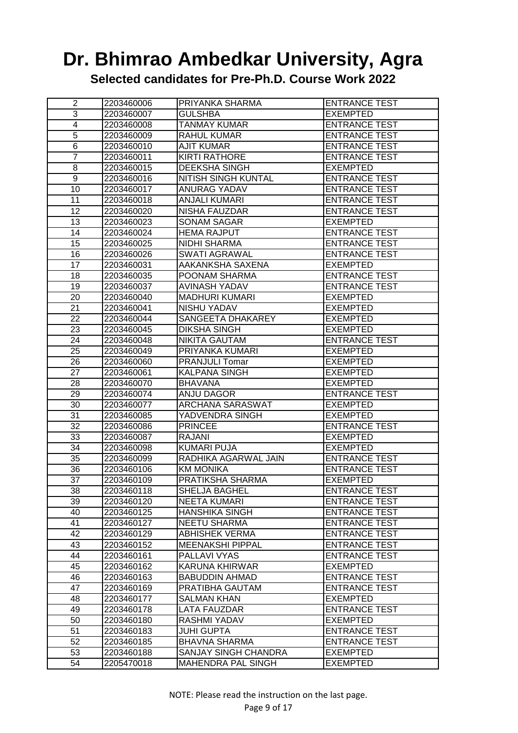**Selected candidates for Pre-Ph.D. Course Work 2022**

| $\overline{2}$  | 2203460006 | PRIYANKA SHARMA            | <b>ENTRANCE TEST</b> |
|-----------------|------------|----------------------------|----------------------|
| 3               | 2203460007 | <b>GULSHBA</b>             | <b>EXEMPTED</b>      |
| 4               | 2203460008 | TANMAY KUMAR               | <b>ENTRANCE TEST</b> |
| 5               | 2203460009 | <b>RAHUL KUMAR</b>         | <b>ENTRANCE TEST</b> |
| 6               | 2203460010 | <b>AJIT KUMAR</b>          | <b>ENTRANCE TEST</b> |
| $\overline{7}$  | 2203460011 | <b>KIRTI RATHORE</b>       | <b>ENTRANCE TEST</b> |
| 8               | 2203460015 | <b>DEEKSHA SINGH</b>       | <b>EXEMPTED</b>      |
| 9               | 2203460016 | <b>NITISH SINGH KUNTAL</b> | <b>ENTRANCE TEST</b> |
| 10              | 2203460017 | ANURAG YADAV               | <b>ENTRANCE TEST</b> |
| 11              | 2203460018 | <b>ANJALI KUMARI</b>       | <b>ENTRANCE TEST</b> |
| 12              | 2203460020 | NISHA FAUZDAR              | <b>ENTRANCE TEST</b> |
| 13              | 2203460023 | <b>SONAM SAGAR</b>         | <b>EXEMPTED</b>      |
| 14              | 2203460024 | <b>HEMA RAJPUT</b>         | <b>ENTRANCE TEST</b> |
| 15              | 2203460025 | <b>NIDHI SHARMA</b>        | <b>ENTRANCE TEST</b> |
| 16              | 2203460026 | <b>SWATI AGRAWAL</b>       | <b>ENTRANCE TEST</b> |
| $\overline{17}$ | 2203460031 | AAKANKSHA SAXENA           | <b>EXEMPTED</b>      |
| 18              | 2203460035 | POONAM SHARMA              | <b>ENTRANCE TEST</b> |
| 19              | 2203460037 | <b>AVINASH YADAV</b>       | <b>ENTRANCE TEST</b> |
| $\overline{20}$ | 2203460040 | <b>MADHURI KUMARI</b>      | <b>EXEMPTED</b>      |
| 21              | 2203460041 | <b>NISHU YADAV</b>         | <b>EXEMPTED</b>      |
| 22              | 2203460044 | SANGEETA DHAKAREY          | <b>EXEMPTED</b>      |
| 23              | 2203460045 | <b>DIKSHA SINGH</b>        | <b>EXEMPTED</b>      |
| 24              | 2203460048 | <b>NIKITA GAUTAM</b>       | <b>ENTRANCE TEST</b> |
| $\overline{25}$ | 2203460049 | PRIYANKA KUMARI            | <b>EXEMPTED</b>      |
| 26              | 2203460060 | <b>PRANJULI Tomar</b>      | <b>EXEMPTED</b>      |
| 27              | 2203460061 | <b>KALPANA SINGH</b>       | <b>EXEMPTED</b>      |
| 28              | 2203460070 | <b>BHAVANA</b>             | <b>EXEMPTED</b>      |
| 29              | 2203460074 | <b>ANJU DAGOR</b>          | <b>ENTRANCE TEST</b> |
| 30              | 2203460077 | <b>ARCHANA SARASWAT</b>    | <b>EXEMPTED</b>      |
| 31              | 2203460085 | YADVENDRA SINGH            | <b>EXEMPTED</b>      |
| $\overline{32}$ | 2203460086 | <b>PRINCEE</b>             | <b>ENTRANCE TEST</b> |
| 33              | 2203460087 | RAJANI                     | <b>EXEMPTED</b>      |
| 34              | 2203460098 | <b>KUMARI PUJA</b>         | <b>EXEMPTED</b>      |
| 35              | 2203460099 | RADHIKA AGARWAL JAIN       | <b>ENTRANCE TEST</b> |
| 36              | 2203460106 | <b>KM MONIKA</b>           | <b>ENTRANCE TEST</b> |
| 37              | 2203460109 | PRATIKSHA SHARMA           | <b>EXEMPTED</b>      |
| 38              | 2203460118 | SHELJA BAGHEL              | <b>ENTRANCE TEST</b> |
| 39              | 2203460120 | <b>NEETA KUMARI</b>        | <b>ENTRANCE TEST</b> |
| 40              | 2203460125 | <b>HANSHIKA SINGH</b>      | <b>ENTRANCE TEST</b> |
| 41              | 2203460127 | <b>NEETU SHARMA</b>        | <b>ENTRANCE TEST</b> |
| 42              | 2203460129 | <b>ABHISHEK VERMA</b>      | <b>ENTRANCE TEST</b> |
| 43              | 2203460152 | <b>MEENAKSHI PIPPAL</b>    | <b>ENTRANCE TEST</b> |
| 44              | 2203460161 | PALLAVI VYAS               | <b>ENTRANCE TEST</b> |
| 45              | 2203460162 | <b>KARUNA KHIRWAR</b>      | <b>EXEMPTED</b>      |
| 46              | 2203460163 | <b>BABUDDIN AHMAD</b>      | <b>ENTRANCE TEST</b> |
| 47              | 2203460169 | PRATIBHA GAUTAM            | <b>ENTRANCE TEST</b> |
| 48              | 2203460177 | SALMAN KHAN                | <b>EXEMPTED</b>      |
| 49              | 2203460178 | LATA FAUZDAR               | <b>ENTRANCE TEST</b> |
| 50              | 2203460180 | RASHMI YADAV               | <b>EXEMPTED</b>      |
| 51              | 2203460183 | JUHI GUPTA                 | <b>ENTRANCE TEST</b> |
| 52              | 2203460185 | <b>BHAVNA SHARMA</b>       | <b>ENTRANCE TEST</b> |
| 53              | 2203460188 | SANJAY SINGH CHANDRA       | <b>EXEMPTED</b>      |
| 54              | 2205470018 | <b>MAHENDRA PAL SINGH</b>  | <b>EXEMPTED</b>      |
|                 |            |                            |                      |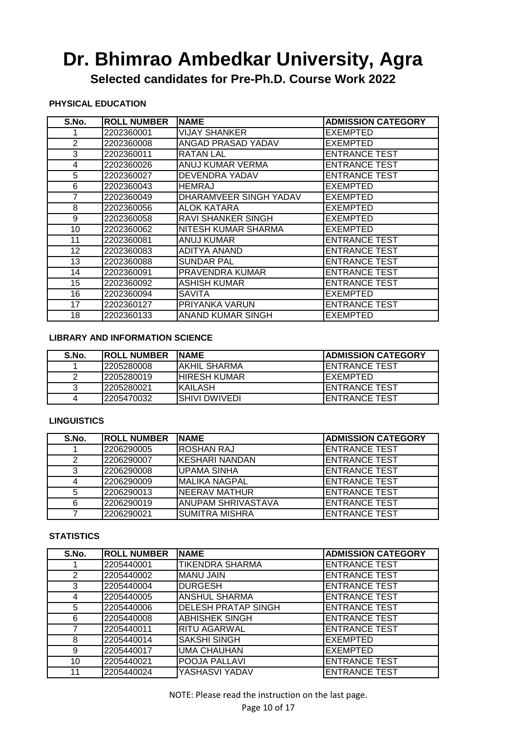**Selected candidates for Pre-Ph.D. Course Work 2022**

#### **PHYSICAL EDUCATION**

| S.No. | <b>ROLL NUMBER</b> | <b>NAME</b>             | <b>ADMISSION CATEGORY</b> |
|-------|--------------------|-------------------------|---------------------------|
|       | 2202360001         | VIJAY SHANKER           | <b>EXEMPTED</b>           |
| 2     | 2202360008         | ANGAD PRASAD YADAV      | <b>EXEMPTED</b>           |
| 3     | 2202360011         | <b>RATAN LAL</b>        | <b>ENTRANCE TEST</b>      |
| 4     | 2202360026         | <b>ANUJ KUMAR VERMA</b> | <b>ENTRANCE TEST</b>      |
| 5     | 2202360027         | DEVENDRA YADAV          | <b>ENTRANCE TEST</b>      |
| 6     | 2202360043         | <b>HEMRAJ</b>           | <b>EXEMPTED</b>           |
| 7     | 2202360049         | DHARAMVEER SINGH YADAV  | <b>EXEMPTED</b>           |
| 8     | 2202360056         | ALOK KATARA             | <b>EXEMPTED</b>           |
| 9     | 2202360058         | RAVI SHANKER SINGH      | EXEMPTED                  |
| 10    | 2202360062         | NITESH KUMAR SHARMA     | <b>EXEMPTED</b>           |
| 11    | 2202360081         | ANUJ KUMAR              | <b>ENTRANCE TEST</b>      |
| 12    | 2202360083         | <b>ADITYA ANAND</b>     | <b>ENTRANCE TEST</b>      |
| 13    | 2202360088         | <b>SUNDAR PAL</b>       | <b>ENTRANCE TEST</b>      |
| 14    | 2202360091         | PRAVENDRA KUMAR         | <b>ENTRANCE TEST</b>      |
| 15    | 2202360092         | <b>ASHISH KUMAR</b>     | <b>ENTRANCE TEST</b>      |
| 16    | 2202360094         | <b>SAVITA</b>           | <b>EXEMPTED</b>           |
| 17    | 2202360127         | PRIYANKA VARUN          | <b>ENTRANCE TEST</b>      |
| 18    | 2202360133         | ANAND KUMAR SINGH       | <b>EXEMPTED</b>           |

#### **LIBRARY AND INFORMATION SCIENCE**

| S.No. | <b>IROLL NUMBER</b> | <b>INAME</b>         | <b>IADMISSION CATEGORY</b> |
|-------|---------------------|----------------------|----------------------------|
|       | 12205280008         | IAKHIL SHARMA        | <b>IENTRANCE TEST</b>      |
|       | 12205280019         | <b>IHIRESH KUMAR</b> | IEXEMPTED                  |
|       | 12205280021         | IKAILASH             | <b>IENTRANCE TEST</b>      |
|       | 12205470032         | ISHIVI DWIVEDI       | <b>IENTRANCE TEST</b>      |

#### **LINGUISTICS**

| S.No. | <b>ROLL NUMBER</b> | <b>INAME</b>              | <b>ADMISSION CATEGORY</b> |
|-------|--------------------|---------------------------|---------------------------|
|       | 2206290005         | IROSHAN RAJ               | <b>ENTRANCE TEST</b>      |
| າ     | 2206290007         | <b>I</b> KESHARI NANDAN   | <b>IENTRANCE TEST</b>     |
| 3     | 2206290008         | <b>UPAMA SINHA</b>        | <b>ENTRANCE TEST</b>      |
|       | 2206290009         | IMALIKA NAGPAL            | <b>ENTRANCE TEST</b>      |
| 5     | 2206290013         | <b>INEERAV MATHUR</b>     | <b>IENTRANCE TEST</b>     |
| 6     | 2206290019         | <b>ANUPAM SHRIVASTAVA</b> | <b>ENTRANCE TEST</b>      |
|       | 2206290021         | <b>SUMITRA MISHRA</b>     | <b>ENTRANCE TEST</b>      |

#### **STATISTICS**

| S.No. | <b>ROLL NUMBER</b> | <b>NAME</b>                | <b>ADMISSION CATEGORY</b> |
|-------|--------------------|----------------------------|---------------------------|
|       | 2205440001         | <b>TIKENDRA SHARMA</b>     | <b>ENTRANCE TEST</b>      |
| 2     | 2205440002         | <b>MANU JAIN</b>           | <b>ENTRANCE TEST</b>      |
| 3     | 2205440004         | <b>DURGESH</b>             | <b>ENTRANCE TEST</b>      |
| 4     | 2205440005         | <b>ANSHUL SHARMA</b>       | <b>ENTRANCE TEST</b>      |
| 5     | 2205440006         | <b>DELESH PRATAP SINGH</b> | <b>ENTRANCE TEST</b>      |
| 6     | 2205440008         | <b>ABHISHEK SINGH</b>      | <b>ENTRANCE TEST</b>      |
|       | 2205440011         | <b>RITU AGARWAL</b>        | <b>ENTRANCE TEST</b>      |
| 8     | 2205440014         | SAKSHI SINGH               | <b>EXEMPTED</b>           |
| 9     | 2205440017         | <b>UMA CHAUHAN</b>         | <b>EXEMPTED</b>           |
| 10    | 2205440021         | POOJA PALLAVI              | <b>ENTRANCE TEST</b>      |
| 11    | 2205440024         | YASHASVI YADAV             | <b>ENTRANCE TEST</b>      |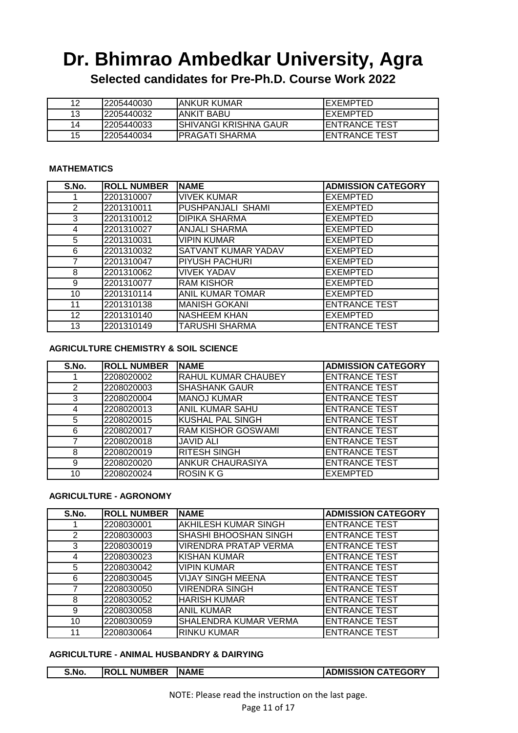**Selected candidates for Pre-Ph.D. Course Work 2022**

|    | 12205440030 | IANKUR KUMAR           | IEXEMPTED             |
|----|-------------|------------------------|-----------------------|
| 13 | 12205440032 | IANKIT BABU            | IEXEMPTED             |
| 14 | 12205440033 | ISHIVANGI KRISHNA GAUR | <b>IENTRANCE TEST</b> |
| 15 | 12205440034 | IPRAGATI SHARMA        | <b>IENTRANCE TEST</b> |

#### **MATHEMATICS**

| S.No. | <b>ROLL NUMBER</b> | <b>NAME</b>             | <b>ADMISSION CATEGORY</b> |
|-------|--------------------|-------------------------|---------------------------|
|       | 2201310007         | <b>VIVEK KUMAR</b>      | <b>EXEMPTED</b>           |
| 2     | 2201310011         | PUSHPANJALI SHAMI       | <b>EXEMPTED</b>           |
| 3     | 2201310012         | <b>DIPIKA SHARMA</b>    | <b>EXEMPTED</b>           |
| 4     | 2201310027         | <b>ANJALI SHARMA</b>    | <b>EXEMPTED</b>           |
| 5     | 2201310031         | <b>VIPIN KUMAR</b>      | <b>EXEMPTED</b>           |
| 6     | 2201310032         | SATVANT KUMAR YADAV     | <b>EXEMPTED</b>           |
| 7     | 2201310047         | PIYUSH PACHURI          | <b>EXEMPTED</b>           |
| 8     | 2201310062         | <b>VIVEK YADAV</b>      | <b>EXEMPTED</b>           |
| 9     | 2201310077         | <b>RAM KISHOR</b>       | <b>EXEMPTED</b>           |
| 10    | 2201310114         | <b>ANIL KUMAR TOMAR</b> | <b>EXEMPTED</b>           |
| 11    | 2201310138         | <b>MANISH GOKANI</b>    | <b>ENTRANCE TEST</b>      |
| 12    | 2201310140         | <b>NASHEEM KHAN</b>     | <b>EXEMPTED</b>           |
| 13    | 2201310149         | <b>TARUSHI SHARMA</b>   | <b>ENTRANCE TEST</b>      |

#### **AGRICULTURE CHEMISTRY & SOIL SCIENCE**

| S.No. | <b>ROLL NUMBER</b> | <b>NAME</b>               | <b>ADMISSION CATEGORY</b> |
|-------|--------------------|---------------------------|---------------------------|
|       | 2208020002         | RAHUL KUMAR CHAUBEY       | <b>ENTRANCE TEST</b>      |
| 2     | 2208020003         | <b>SHASHANK GAUR</b>      | <b>ENTRANCE TEST</b>      |
| 3     | 2208020004         | <b>MANOJ KUMAR</b>        | <b>ENTRANCE TEST</b>      |
| 4     | 2208020013         | <b>ANIL KUMAR SAHU</b>    | <b>ENTRANCE TEST</b>      |
| 5     | 2208020015         | <b>KUSHAL PAL SINGH</b>   | <b>ENTRANCE TEST</b>      |
| 6     | 2208020017         | <b>RAM KISHOR GOSWAMI</b> | <b>ENTRANCE TEST</b>      |
|       | 2208020018         | <b>JAVID ALI</b>          | <b>ENTRANCE TEST</b>      |
| 8     | 2208020019         | <b>RITESH SINGH</b>       | <b>ENTRANCE TEST</b>      |
| 9     | 2208020020         | <b>ANKUR CHAURASIYA</b>   | <b>ENTRANCE TEST</b>      |
| 10    | 2208020024         | <b>ROSINKG</b>            | <b>EXEMPTED</b>           |

#### **AGRICULTURE - AGRONOMY**

| S.No.         | <b>ROLL NUMBER</b> | <b>NAME</b>                  | <b>ADMISSION CATEGORY</b> |
|---------------|--------------------|------------------------------|---------------------------|
|               | 2208030001         | <b>AKHILESH KUMAR SINGH</b>  | <b>ENTRANCE TEST</b>      |
| $\mathcal{P}$ | 2208030003         | SHASHI BHOOSHAN SINGH        | <b>ENTRANCE TEST</b>      |
| 3             | 2208030019         | <b>VIRENDRA PRATAP VERMA</b> | <b>ENTRANCE TEST</b>      |
| 4             | 2208030023         | <b>KISHAN KUMAR</b>          | <b>ENTRANCE TEST</b>      |
| 5             | 2208030042         | <b>VIPIN KUMAR</b>           | <b>ENTRANCE TEST</b>      |
| 6             | 2208030045         | <b>VIJAY SINGH MEENA</b>     | <b>ENTRANCE TEST</b>      |
|               | 2208030050         | <b>VIRENDRA SINGH</b>        | <b>ENTRANCE TEST</b>      |
| 8             | 2208030052         | <b>HARISH KUMAR</b>          | <b>ENTRANCE TEST</b>      |
| 9             | 2208030058         | <b>ANIL KUMAR</b>            | <b>ENTRANCE TEST</b>      |
| 10            | 2208030059         | SHALENDRA KUMAR VERMA        | <b>ENTRANCE TEST</b>      |
| 11            | 2208030064         | <b>RINKU KUMAR</b>           | <b>ENTRANCE TEST</b>      |

#### **AGRICULTURE - ANIMAL HUSBANDRY & DAIRYING**

| S.No. | <b>ROLL NUMBER</b> | <b>INAME</b> | <b>ADMISSION CATEGORY</b> |
|-------|--------------------|--------------|---------------------------|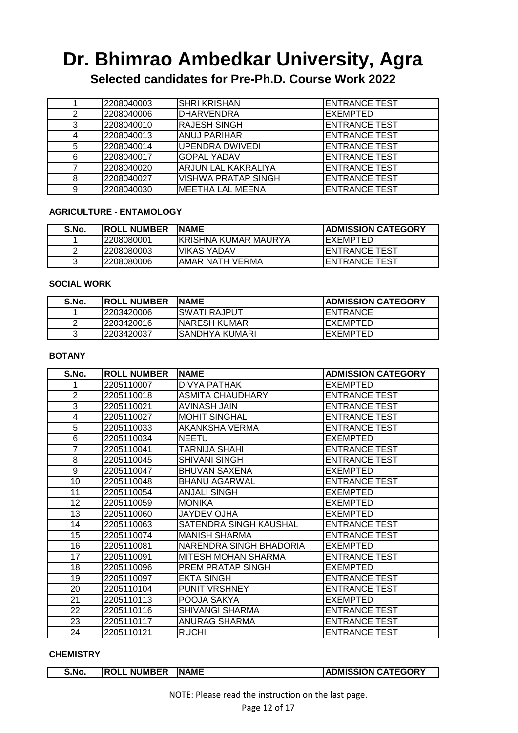**Selected candidates for Pre-Ph.D. Course Work 2022**

|   | 2208040003 | <b>SHRI KRISHAN</b>        | <b>ENTRANCE TEST</b>  |
|---|------------|----------------------------|-----------------------|
| 2 | 2208040006 | <b>DHARVENDRA</b>          | <b>EXEMPTED</b>       |
| 3 | 2208040010 | <b>I</b> RAJESH SINGH      | <b>ENTRANCE TEST</b>  |
| 4 | 2208040013 | IANUJ PARIHAR              | <b>ENTRANCE TEST</b>  |
| 5 | 2208040014 | UPENDRA DWIVEDI            | <b>IENTRANCE TEST</b> |
| 6 | 2208040017 | <b>GOPAL YADAV</b>         | <b>ENTRANCE TEST</b>  |
|   | 2208040020 | IARJUN LAL KAKRALIYA       | <b>ENTRANCE TEST</b>  |
| 8 | 2208040027 | <b>VISHWA PRATAP SINGH</b> | <b>ENTRANCE TEST</b>  |
| 9 | 2208040030 | IMEETHA LAL MEENA          | <b>ENTRANCE TEST</b>  |

#### **AGRICULTURE - ENTAMOLOGY**

| S.No. | <b>IROLL NUMBER</b> | <b>INAME</b>          | <b>ADMISSION CATEGORY</b> |
|-------|---------------------|-----------------------|---------------------------|
|       | 2208080001          | IKRISHNA KUMAR MAURYA | IEXEMPTED                 |
|       | 12208080003         | IVIKAS YADAV          | <b>IENTRANCE TEST</b>     |
|       | 2208080006          | IAMAR NATH VFRMA      | <b>IENTRANCE TEST</b>     |

#### **SOCIAL WORK**

| S.No. | <b>IROLL NUMBER</b> | INAME           | <b>IADMISSION CATEGORY</b> |
|-------|---------------------|-----------------|----------------------------|
|       | 12203420006         | ISWATI RAJPUT   | <b>IENTRANCE</b>           |
|       | 12203420016         | INARESH KUMAR   | IEXEMPTED                  |
|       | 12203420037         | ISANDHYA KUMARI | IEXEMPTED                  |

#### **BOTANY**

| S.No.          | <b>ROLL NUMBER</b> | <b>NAME</b>                | <b>ADMISSION CATEGORY</b> |
|----------------|--------------------|----------------------------|---------------------------|
| 1              | 2205110007         | <b>DIVYA PATHAK</b>        | EXEMPTED                  |
| $\overline{2}$ | 2205110018         | ASMITA CHAUDHARY           | <b>ENTRANCE TEST</b>      |
| 3              | 2205110021         | <b>AVINASH JAIN</b>        | <b>ENTRANCE TEST</b>      |
| 4              | 2205110027         | <b>MOHIT SINGHAL</b>       | <b>ENTRANCE TEST</b>      |
| $\overline{5}$ | 2205110033         | AKANKSHA VERMA             | <b>ENTRANCE TEST</b>      |
| 6              | 2205110034         | <b>NEETU</b>               | EXEMPTED                  |
| $\overline{7}$ | 2205110041         | TARNIJA SHAHI              | <b>ENTRANCE TEST</b>      |
| 8              | 2205110045         | <b>SHIVANI SINGH</b>       | <b>ENTRANCE TEST</b>      |
| 9              | 2205110047         | <b>BHUVAN SAXENA</b>       | EXEMPTED                  |
| 10             | 2205110048         | <b>BHANU AGARWAL</b>       | <b>ENTRANCE TEST</b>      |
| 11             | 2205110054         | ANJALI SINGH               | <b>EXEMPTED</b>           |
| 12             | 2205110059         | <b>MONIKA</b>              | EXEMPTED                  |
| 13             | 2205110060         | <b>JAYDEV OJHA</b>         | EXEMPTED                  |
| 14             | 2205110063         | SATENDRA SINGH KAUSHAL     | <b>ENTRANCE TEST</b>      |
| 15             | 2205110074         | <b>MANISH SHARMA</b>       | <b>ENTRANCE TEST</b>      |
| 16             | 2205110081         | NARENDRA SINGH BHADORIA    | EXEMPTED                  |
| 17             | 2205110091         | <b>MITESH MOHAN SHARMA</b> | <b>ENTRANCE TEST</b>      |
| 18             | 2205110096         | PREM PRATAP SINGH          | EXEMPTED                  |
| 19             | 2205110097         | <b>EKTA SINGH</b>          | <b>ENTRANCE TEST</b>      |
| 20             | 2205110104         | PUNIT VRSHNEY              | <b>ENTRANCE TEST</b>      |
| 21             | 2205110113         | POOJA SAKYA                | <b>EXEMPTED</b>           |
| 22             | 2205110116         | SHIVANGI SHARMA            | <b>ENTRANCE TEST</b>      |
| 23             | 2205110117         | ANURAG SHARMA              | <b>ENTRANCE TEST</b>      |
| 24             | 2205110121         | <b>RUCHI</b>               | <b>ENTRANCE TEST</b>      |

#### **CHEMISTRY**

| S.No | <b>ROLL NUMBER</b> | <b>INAME</b> | <b>ADMISSION CATEGORY</b> |
|------|--------------------|--------------|---------------------------|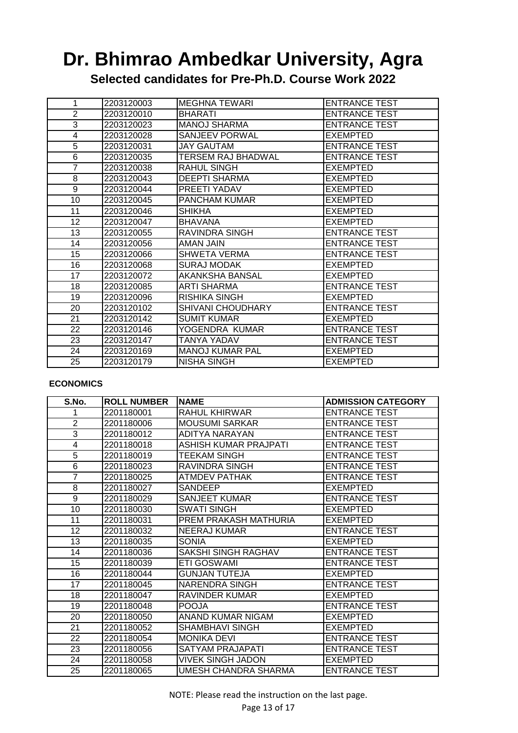**Selected candidates for Pre-Ph.D. Course Work 2022**

| 1              | 2203120003 | <b>MEGHNA TEWARI</b>   | <b>ENTRANCE TEST</b> |
|----------------|------------|------------------------|----------------------|
| $\overline{2}$ | 2203120010 | <b>BHARATI</b>         | <b>ENTRANCE TEST</b> |
| 3              | 2203120023 | <b>MANOJ SHARMA</b>    | <b>ENTRANCE TEST</b> |
| 4              | 2203120028 | SANJEEV PORWAL         | EXEMPTED             |
| 5              | 2203120031 | <b>JAY GAUTAM</b>      | <b>ENTRANCE TEST</b> |
| 6              | 2203120035 | TERSEM RAJ BHADWAL     | <b>ENTRANCE TEST</b> |
| 7              | 2203120038 | RAHUL SINGH            | EXEMPTED             |
| 8              | 2203120043 | <b>DEEPTI SHARMA</b>   | EXEMPTED             |
| 9              | 2203120044 | PREETI YADAV           | <b>EXEMPTED</b>      |
| 10             | 2203120045 | <b>PANCHAM KUMAR</b>   | EXEMPTED             |
| 11             | 2203120046 | <b>SHIKHA</b>          | <b>EXEMPTED</b>      |
| 12             | 2203120047 | <b>BHAVANA</b>         | EXEMPTED             |
| 13             | 2203120055 | RAVINDRA SINGH         | <b>ENTRANCE TEST</b> |
| 14             | 2203120056 | AMAN JAIN              | <b>ENTRANCE TEST</b> |
| 15             | 2203120066 | <b>SHWETA VERMA</b>    | <b>ENTRANCE TEST</b> |
| 16             | 2203120068 | <b>SURAJ MODAK</b>     | EXEMPTED             |
| 17             | 2203120072 | AKANKSHA BANSAL        | EXEMPTED             |
| 18             | 2203120085 | <b>ARTI SHARMA</b>     | <b>ENTRANCE TEST</b> |
| 19             | 2203120096 | <b>RISHIKA SINGH</b>   | <b>EXEMPTED</b>      |
| 20             | 2203120102 | SHIVANI CHOUDHARY      | <b>ENTRANCE TEST</b> |
| 21             | 2203120142 | <b>SUMIT KUMAR</b>     | <b>EXEMPTED</b>      |
| 22             | 2203120146 | YOGENDRA KUMAR         | <b>ENTRANCE TEST</b> |
| 23             | 2203120147 | <b>TANYA YADAV</b>     | <b>ENTRANCE TEST</b> |
| 24             | 2203120169 | <b>MANOJ KUMAR PAL</b> | EXEMPTED             |
| 25             | 2203120179 | <b>NISHA SINGH</b>     | EXEMPTED             |

#### **ECONOMICS**

| S.No.          | <b>ROLL NUMBER</b> | <b>INAME</b>          | <b>ADMISSION CATEGORY</b> |
|----------------|--------------------|-----------------------|---------------------------|
|                | 2201180001         | RAHUL KHIRWAR         | <b>ENTRANCE TEST</b>      |
| $\overline{2}$ | 2201180006         | <b>MOUSUMI SARKAR</b> | <b>ENTRANCE TEST</b>      |
| 3              | 2201180012         | ADITYA NARAYAN        | <b>ENTRANCE TEST</b>      |
| 4              | 2201180018         | ASHISH KUMAR PRAJPATI | <b>ENTRANCE TEST</b>      |
| $\overline{5}$ | 2201180019         | TEEKAM SINGH          | <b>ENTRANCE TEST</b>      |
| 6              | 2201180023         | RAVINDRA SINGH        | <b>ENTRANCE TEST</b>      |
| 7              | 2201180025         | ATMDEV PATHAK         | <b>ENTRANCE TEST</b>      |
| 8              | 2201180027         | SANDEEP               | EXEMPTED                  |
| 9              | 2201180029         | SANJEET KUMAR         | <b>ENTRANCE TEST</b>      |
| 10             | 2201180030         | SWATI SINGH           | <b>EXEMPTED</b>           |
| 11             | 2201180031         | PREM PRAKASH MATHURIA | EXEMPTED                  |
| 12             | 2201180032         | NEERAJ KUMAR          | <b>ENTRANCE TEST</b>      |
| 13             | 2201180035         | SONIA                 | <b>EXEMPTED</b>           |
| 14             | 2201180036         | SAKSHI SINGH RAGHAV   | <b>ENTRANCE TEST</b>      |
| 15             | 2201180039         | ETI GOSWAMI           | <b>ENTRANCE TEST</b>      |
| 16             | 2201180044         | <b>GUNJAN TUTEJA</b>  | <b>EXEMPTED</b>           |
| 17             | 2201180045         | <b>NARENDRA SINGH</b> | <b>ENTRANCE TEST</b>      |
| 18             | 2201180047         | RAVINDER KUMAR        | EXEMPTED                  |
| 19             | 2201180048         | <b>POOJA</b>          | <b>ENTRANCE TEST</b>      |
| 20             | 2201180050         | ANAND KUMAR NIGAM     | <b>EXEMPTED</b>           |
| 21             | 2201180052         | SHAMBHAVI SINGH       | EXEMPTED                  |
| 22             | 2201180054         | <b>MONIKA DEVI</b>    | <b>ENTRANCE TEST</b>      |
| 23             | 2201180056         | SATYAM PRAJAPATI      | <b>ENTRANCE TEST</b>      |
| 24             | 2201180058         | VIVEK SINGH JADON     | EXEMPTED                  |
| 25             | 2201180065         | UMESH CHANDRA SHARMA  | <b>ENTRANCE TEST</b>      |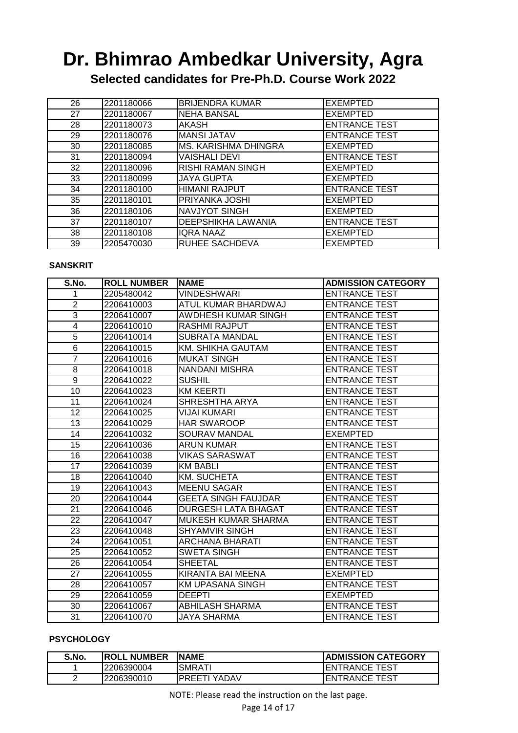**Selected candidates for Pre-Ph.D. Course Work 2022**

| 26 | 2201180066 | <b>BRIJENDRA KUMAR</b>    | <b>EXEMPTED</b>      |
|----|------------|---------------------------|----------------------|
| 27 | 2201180067 | <b>NEHA BANSAL</b>        | <b>EXEMPTED</b>      |
| 28 | 2201180073 | AKASH                     | <b>ENTRANCE TEST</b> |
| 29 | 2201180076 | <b>MANSI JATAV</b>        | <b>ENTRANCE TEST</b> |
| 30 | 2201180085 | MS. KARISHMA DHINGRA      | <b>EXEMPTED</b>      |
| 31 | 2201180094 | <b>VAISHALI DEVI</b>      | <b>ENTRANCE TEST</b> |
| 32 | 2201180096 | RISHI RAMAN SINGH         | <b>EXEMPTED</b>      |
| 33 | 2201180099 | <b>JAYA GUPTA</b>         | <b>EXEMPTED</b>      |
| 34 | 2201180100 | <b>HIMANI RAJPUT</b>      | <b>ENTRANCE TEST</b> |
| 35 | 2201180101 | <b>PRIYANKA JOSHI</b>     | <b>EXEMPTED</b>      |
| 36 | 2201180106 | NAVJYOT SINGH             | <b>EXEMPTED</b>      |
| 37 | 2201180107 | <b>DEEPSHIKHA LAWANIA</b> | <b>ENTRANCE TEST</b> |
| 38 | 2201180108 | <b>IQRA NAAZ</b>          | <b>EXEMPTED</b>      |
| 39 | 2205470030 | <b>RUHEE SACHDEVA</b>     | <b>EXEMPTED</b>      |

#### **SANSKRIT**

| S.No.           | <b>ROLL NUMBER</b> | <b>NAME</b>                | <b>ADMISSION CATEGORY</b> |
|-----------------|--------------------|----------------------------|---------------------------|
| 1               | 2205480042         | <b>VINDESHWARI</b>         | <b>ENTRANCE TEST</b>      |
| $\overline{2}$  | 2206410003         | ATUL KUMAR BHARDWAJ        | <b>ENTRANCE TEST</b>      |
| $\overline{3}$  | 2206410007         | AWDHESH KUMAR SINGH        | <b>ENTRANCE TEST</b>      |
| 4               | 2206410010         | <b>RASHMI RAJPUT</b>       | <b>ENTRANCE TEST</b>      |
| 5               | 2206410014         | <b>SUBRATA MANDAL</b>      | <b>ENTRANCE TEST</b>      |
| $\overline{6}$  | 2206410015         | KM. SHIKHA GAUTAM          | <b>ENTRANCE TEST</b>      |
| $\overline{7}$  | 2206410016         | <b>MUKAT SINGH</b>         | <b>ENTRANCE TEST</b>      |
| 8               | 2206410018         | NANDANI MISHRA             | <b>ENTRANCE TEST</b>      |
| 9               | 2206410022         | <b>SUSHIL</b>              | <b>ENTRANCE TEST</b>      |
| 10              | 2206410023         | KM KEERTI                  | <b>ENTRANCE TEST</b>      |
| 11              | 2206410024         | SHRESHTHA ARYA             | <b>ENTRANCE TEST</b>      |
| 12              | 2206410025         | VIJAI KUMARI               | <b>ENTRANCE TEST</b>      |
| $\overline{13}$ | 2206410029         | <b>HAR SWAROOP</b>         | <b>ENTRANCE TEST</b>      |
| $\overline{14}$ | 2206410032         | <b>SOURAV MANDAL</b>       | <b>EXEMPTED</b>           |
| 15              | 2206410036         | <b>ARUN KUMAR</b>          | <b>ENTRANCE TEST</b>      |
| 16              | 2206410038         | <b>VIKAS SARASWAT</b>      | <b>ENTRANCE TEST</b>      |
| $\overline{17}$ | 2206410039         | <b>KM BABLI</b>            | <b>ENTRANCE TEST</b>      |
| 18              | 2206410040         | <b>KM. SUCHETA</b>         | <b>ENTRANCE TEST</b>      |
| 19              | 2206410043         | <b>MEENU SAGAR</b>         | <b>ENTRANCE TEST</b>      |
| $\overline{20}$ | 2206410044         | <b>GEETA SINGH FAUJDAR</b> | <b>ENTRANCE TEST</b>      |
| 21              | 2206410046         | <b>DURGESH LATA BHAGAT</b> | <b>ENTRANCE TEST</b>      |
| 22              | 2206410047         | MUKESH KUMAR SHARMA        | <b>ENTRANCE TEST</b>      |
| $\overline{23}$ | 2206410048         | <b>SHYAMVIR SINGH</b>      | <b>ENTRANCE TEST</b>      |
| 24              | 2206410051         | ARCHANA BHARATI            | <b>ENTRANCE TEST</b>      |
| 25              | 2206410052         | <b>SWETA SINGH</b>         | <b>ENTRANCE TEST</b>      |
| 26              | 2206410054         | <b>SHEETAL</b>             | <b>ENTRANCE TEST</b>      |
| 27              | 2206410055         | KIRANTA BAI MEENA          | <b>EXEMPTED</b>           |
| 28              | 2206410057         | <b>KM UPASANA SINGH</b>    | <b>ENTRANCE TEST</b>      |
| 29              | 2206410059         | <b>DEEPTI</b>              | <b>EXEMPTED</b>           |
| 30              | 2206410067         | ABHILASH SHARMA            | <b>ENTRANCE TEST</b>      |
| 31              | 2206410070         | JAYA SHARMA                | <b>ENTRANCE TEST</b>      |

#### **PSYCHOLOGY**

| S.No. | <b>IROLL NUMBER</b> | INAME         | <b>IADMISSION CATEGORY</b> |
|-------|---------------------|---------------|----------------------------|
|       | 2206390004          | SMRATI        | <b>IENTRANCE TEST</b>      |
| -     | l2206390010         | IPRFFTI YADAV | <b>ENTRANCE TEST</b>       |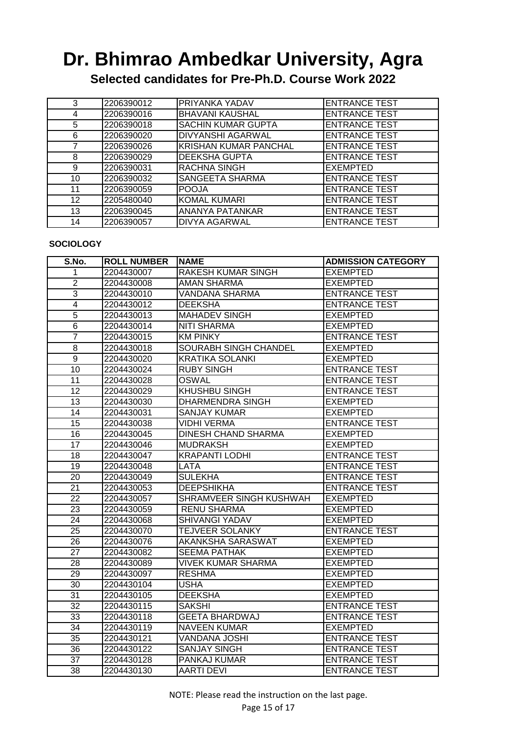**Selected candidates for Pre-Ph.D. Course Work 2022**

| 3               | 2206390012 | PRIYANKA YADAV               | <b>ENTRANCE TEST</b> |
|-----------------|------------|------------------------------|----------------------|
| 4               | 2206390016 | <b>BHAVANI KAUSHAL</b>       | <b>ENTRANCE TEST</b> |
| 5               | 2206390018 | <b>SACHIN KUMAR GUPTA</b>    | <b>ENTRANCE TEST</b> |
| 6               | 2206390020 | <b>DIVYANSHI AGARWAL</b>     | <b>ENTRANCE TEST</b> |
|                 | 2206390026 | <b>KRISHAN KUMAR PANCHAL</b> | <b>ENTRANCE TEST</b> |
| 8               | 2206390029 | <b>DEEKSHA GUPTA</b>         | <b>ENTRANCE TEST</b> |
| 9               | 2206390031 | <b>RACHNA SINGH</b>          | <b>EXEMPTED</b>      |
| 10              | 2206390032 | <b>SANGEETA SHARMA</b>       | <b>ENTRANCE TEST</b> |
| 11              | 2206390059 | <b>POOJA</b>                 | <b>ENTRANCE TEST</b> |
| 12 <sup>2</sup> | 2205480040 | <b>KOMAL KUMARI</b>          | <b>ENTRANCE TEST</b> |
| 13              | 2206390045 | <b>ANANYA PATANKAR</b>       | <b>ENTRANCE TEST</b> |
| 14              | 2206390057 | <b>DIVYA AGARWAL</b>         | <b>ENTRANCE TEST</b> |

#### **SOCIOLOGY**

| S.No.           | <b>ROLL NUMBER</b> | <b>INAME</b>               | <b>ADMISSION CATEGORY</b> |
|-----------------|--------------------|----------------------------|---------------------------|
| 1               | 2204430007         | RAKESH KUMAR SINGH         | <b>EXEMPTED</b>           |
| $\overline{2}$  | 2204430008         | AMAN SHARMA                | <b>EXEMPTED</b>           |
| $\overline{3}$  | 2204430010         | <b>VANDANA SHARMA</b>      | <b>ENTRANCE TEST</b>      |
| $\overline{4}$  | 2204430012         | <b>DEEKSHA</b>             | <b>ENTRANCE TEST</b>      |
| $\overline{5}$  | 2204430013         | <b>MAHADEV SINGH</b>       | <b>EXEMPTED</b>           |
| $\overline{6}$  | 2204430014         | <b>NITI SHARMA</b>         | <b>EXEMPTED</b>           |
| $\overline{7}$  | 2204430015         | <b>KM PINKY</b>            | <b>ENTRANCE TEST</b>      |
| 8               | 2204430018         | SOURABH SINGH CHANDEL      | <b>EXEMPTED</b>           |
| $\overline{9}$  | 2204430020         | <b>KRATIKA SOLANKI</b>     | <b>EXEMPTED</b>           |
| 10              | 2204430024         | <b>RUBY SINGH</b>          | <b>ENTRANCE TEST</b>      |
| 11              | 2204430028         | <b>OSWAL</b>               | <b>ENTRANCE TEST</b>      |
| 12              | 2204430029         | <b>KHUSHBU SINGH</b>       | <b>ENTRANCE TEST</b>      |
| 13              | 2204430030         | DHARMENDRA SINGH           | <b>EXEMPTED</b>           |
| $\overline{14}$ | 2204430031         | <b>SANJAY KUMAR</b>        | <b>EXEMPTED</b>           |
| $\overline{15}$ | 2204430038         | <b>VIDHI VERMA</b>         | <b>ENTRANCE TEST</b>      |
| 16              | 2204430045         | <b>DINESH CHAND SHARMA</b> | <b>EXEMPTED</b>           |
| $\overline{17}$ | 2204430046         | <b>MUDRAKSH</b>            | <b>EXEMPTED</b>           |
| $\overline{18}$ | 2204430047         | <b>KRAPANTI LODHI</b>      | <b>ENTRANCE TEST</b>      |
| 19              | 2204430048         | <b>LATA</b>                | <b>ENTRANCE TEST</b>      |
| $\overline{20}$ | 2204430049         | <b>SULEKHA</b>             | <b>ENTRANCE TEST</b>      |
| 21              | 2204430053         | <b>DEEPSHIKHA</b>          | <b>ENTRANCE TEST</b>      |
| 22              | 2204430057         | SHRAMVEER SINGH KUSHWAH    | <b>EXEMPTED</b>           |
| 23              | 2204430059         | <b>RENU SHARMA</b>         | <b>EXEMPTED</b>           |
| $\overline{24}$ | 2204430068         | <b>SHIVANGI YADAV</b>      | <b>EXEMPTED</b>           |
| 25              | 2204430070         | <b>TEJVEER SOLANKY</b>     | <b>ENTRANCE TEST</b>      |
| $\overline{26}$ | 2204430076         | AKANKSHA SARASWAT          | <b>EXEMPTED</b>           |
| $\overline{27}$ | 2204430082         | <b>SEEMA PATHAK</b>        | <b>EXEMPTED</b>           |
| 28              | 2204430089         | <b>VIVEK KUMAR SHARMA</b>  | <b>EXEMPTED</b>           |
| 29              | 2204430097         | <b>RESHMA</b>              | <b>EXEMPTED</b>           |
| 30              | 2204430104         | <b>USHA</b>                | <b>EXEMPTED</b>           |
| $\overline{31}$ | 2204430105         | <b>DEEKSHA</b>             | <b>EXEMPTED</b>           |
| $\overline{32}$ | 2204430115         | <b>SAKSHI</b>              | <b>ENTRANCE TEST</b>      |
| 33              | 2204430118         | <b>GEETA BHARDWAJ</b>      | <b>ENTRANCE TEST</b>      |
| 34              | 2204430119         | <b>NAVEEN KUMAR</b>        | <b>EXEMPTED</b>           |
| 35              | 2204430121         | <b>VANDANA JOSHI</b>       | <b>ENTRANCE TEST</b>      |
| 36              | 2204430122         | <b>SANJAY SINGH</b>        | <b>ENTRANCE TEST</b>      |
| 37              | 2204430128         | PANKAJ KUMAR               | <b>ENTRANCE TEST</b>      |
| 38              | 2204430130         | <b>AARTI DEVI</b>          | <b>ENTRANCE TEST</b>      |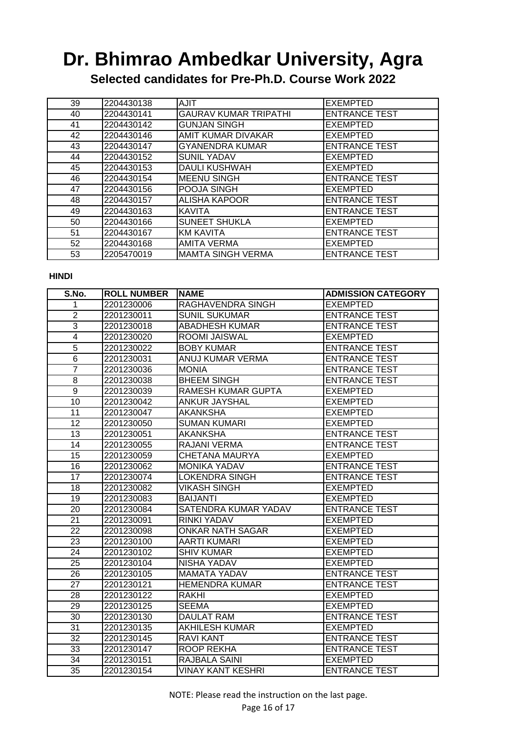**Selected candidates for Pre-Ph.D. Course Work 2022**

| 39 | 2204430138 | <b>AJIT</b>                  | <b>EXEMPTED</b>      |
|----|------------|------------------------------|----------------------|
| 40 | 2204430141 | <b>GAURAV KUMAR TRIPATHI</b> | <b>ENTRANCE TEST</b> |
| 41 | 2204430142 | <b>GUNJAN SINGH</b>          | <b>EXEMPTED</b>      |
| 42 | 2204430146 | AMIT KUMAR DIVAKAR           | <b>EXEMPTED</b>      |
| 43 | 2204430147 | <b>GYANENDRA KUMAR</b>       | <b>ENTRANCE TEST</b> |
| 44 | 2204430152 | <b>SUNIL YADAV</b>           | <b>EXEMPTED</b>      |
| 45 | 2204430153 | <b>DAULI KUSHWAH</b>         | <b>EXEMPTED</b>      |
| 46 | 2204430154 | <b>MEENU SINGH</b>           | <b>ENTRANCE TEST</b> |
| 47 | 2204430156 | POOJA SINGH                  | <b>EXEMPTED</b>      |
| 48 | 2204430157 | ALISHA KAPOOR                | <b>ENTRANCE TEST</b> |
| 49 | 2204430163 | <b>KAVITA</b>                | <b>ENTRANCE TEST</b> |
| 50 | 2204430166 | <b>SUNEET SHUKLA</b>         | <b>EXEMPTED</b>      |
| 51 | 2204430167 | <b>KM KAVITA</b>             | <b>ENTRANCE TEST</b> |
| 52 | 2204430168 | <b>AMITA VERMA</b>           | <b>EXEMPTED</b>      |
| 53 | 2205470019 | <b>MAMTA SINGH VERMA</b>     | <b>ENTRANCE TEST</b> |

#### **HINDI**

| S.No.                   | <b>ROLL NUMBER</b> | <b>INAME</b>             | <b>ADMISSION CATEGORY</b> |
|-------------------------|--------------------|--------------------------|---------------------------|
| 1                       | 2201230006         | RAGHAVENDRA SINGH        | <b>EXEMPTED</b>           |
| $\overline{2}$          | 2201230011         | <b>SUNIL SUKUMAR</b>     | <b>ENTRANCE TEST</b>      |
| 3                       | 2201230018         | <b>ABADHESH KUMAR</b>    | <b>ENTRANCE TEST</b>      |
| $\overline{\mathbf{4}}$ | 2201230020         | ROOMI JAISWAL            | <b>EXEMPTED</b>           |
| $\overline{5}$          | 2201230022         | <b>BOBY KUMAR</b>        | <b>ENTRANCE TEST</b>      |
| $\overline{6}$          | 2201230031         | ANUJ KUMAR VERMA         | <b>ENTRANCE TEST</b>      |
| $\overline{7}$          | 2201230036         | <b>MONIA</b>             | <b>ENTRANCE TEST</b>      |
| 8                       | 2201230038         | <b>BHEEM SINGH</b>       | <b>ENTRANCE TEST</b>      |
| $\overline{9}$          | 2201230039         | RAMESH KUMAR GUPTA       | <b>EXEMPTED</b>           |
| 10                      | 2201230042         | <b>ANKUR JAYSHAL</b>     | <b>EXEMPTED</b>           |
| $\overline{11}$         | 2201230047         | <b>AKANKSHA</b>          | <b>EXEMPTED</b>           |
| $\overline{12}$         | 2201230050         | <b>SUMAN KUMARI</b>      | <b>EXEMPTED</b>           |
| 13                      | 2201230051         | <b>AKANKSHA</b>          | <b>ENTRANCE TEST</b>      |
| 14                      | 2201230055         | RAJANI VERMA             | <b>ENTRANCE TEST</b>      |
| 15                      | 2201230059         | <b>CHETANA MAURYA</b>    | <b>EXEMPTED</b>           |
| 16                      | 2201230062         | <b>MONIKA YADAV</b>      | <b>ENTRANCE TEST</b>      |
| $\overline{17}$         | 2201230074         | <b>LOKENDRA SINGH</b>    | <b>ENTRANCE TEST</b>      |
| $\overline{18}$         | 2201230082         | <b>VIKASH SINGH</b>      | <b>EXEMPTED</b>           |
| 19                      | 2201230083         | <b>BAIJANTI</b>          | <b>EXEMPTED</b>           |
| 20                      | 2201230084         | SATENDRA KUMAR YADAV     | <b>ENTRANCE TEST</b>      |
| $\overline{21}$         | 2201230091         | <b>RINKI YADAV</b>       | <b>EXEMPTED</b>           |
| $\overline{22}$         | 2201230098         | <b>ONKAR NATH SAGAR</b>  | <b>EXEMPTED</b>           |
| $\overline{23}$         | 2201230100         | <b>AARTI KUMARI</b>      | <b>EXEMPTED</b>           |
| $\overline{24}$         | 2201230102         | <b>SHIV KUMAR</b>        | <b>EXEMPTED</b>           |
| 25                      | 2201230104         | NISHA YADAV              | <b>EXEMPTED</b>           |
| 26                      | 2201230105         | <b>MAMATA YADAV</b>      | <b>ENTRANCE TEST</b>      |
| 27                      | 2201230121         | <b>HEMENDRA KUMAR</b>    | <b>ENTRANCE TEST</b>      |
| 28                      | 2201230122         | <b>RAKHI</b>             | <b>EXEMPTED</b>           |
| 29                      | 2201230125         | <b>SEEMA</b>             | <b>EXEMPTED</b>           |
| 30                      | 2201230130         | <b>DAULAT RAM</b>        | <b>ENTRANCE TEST</b>      |
| 31                      | 2201230135         | <b>AKHILESH KUMAR</b>    | <b>EXEMPTED</b>           |
| 32                      | 2201230145         | <b>RAVI KANT</b>         | <b>ENTRANCE TEST</b>      |
| 33                      | 2201230147         | <b>ROOP REKHA</b>        | <b>ENTRANCE TEST</b>      |
| 34                      | 2201230151         | RAJBALA SAINI            | <b>EXEMPTED</b>           |
| 35                      | 2201230154         | <b>VINAY KANT KESHRI</b> | <b>ENTRANCE TEST</b>      |